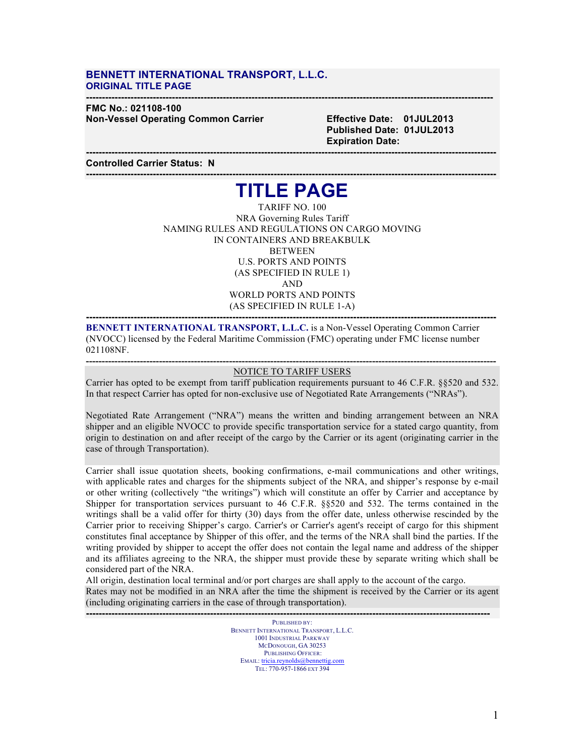#### **BENNETT INTERNATIONAL TRANSPORT, L.L.C. ORIGINAL TITLE PAGE**

#### **-------------------------------------------------------------------------------------------------------------------------------- FMC No.: 021108-100 Non-Vessel Operating Common Carrier Effective Date: 01JUL2013**

 **Published Date: 01JUL2013 Expiration Date:**

**Controlled Carrier Status: N**

### **--------------------------------------------------------------------------------------------------------------------------------- TITLE PAGE**

**---------------------------------------------------------------------------------------------------------------------------------**

TARIFF NO. 100 NRA Governing Rules Tariff NAMING RULES AND REGULATIONS ON CARGO MOVING IN CONTAINERS AND BREAKBULK **BETWEEN** U.S. PORTS AND POINTS (AS SPECIFIED IN RULE 1) AND WORLD PORTS AND POINTS (AS SPECIFIED IN RULE 1-A)

**BENNETT INTERNATIONAL TRANSPORT, L.L.C.** is a Non-Vessel Operating Common Carrier (NVOCC) licensed by the Federal Maritime Commission (FMC) operating under FMC license number 021108NF.

**---------------------------------------------------------------------------------------------------------------------------------**

#### **---------------------------------------------------------------------------------------------------------------------------------** NOTICE TO TARIFF USERS

Carrier has opted to be exempt from tariff publication requirements pursuant to 46 C.F.R. §§520 and 532. In that respect Carrier has opted for non-exclusive use of Negotiated Rate Arrangements ("NRAs").

Negotiated Rate Arrangement ("NRA") means the written and binding arrangement between an NRA shipper and an eligible NVOCC to provide specific transportation service for a stated cargo quantity, from origin to destination on and after receipt of the cargo by the Carrier or its agent (originating carrier in the case of through Transportation).

Carrier shall issue quotation sheets, booking confirmations, e-mail communications and other writings, with applicable rates and charges for the shipments subject of the NRA, and shipper's response by e-mail or other writing (collectively "the writings") which will constitute an offer by Carrier and acceptance by Shipper for transportation services pursuant to 46 C.F.R. §§520 and 532. The terms contained in the writings shall be a valid offer for thirty (30) days from the offer date, unless otherwise rescinded by the Carrier prior to receiving Shipper's cargo. Carrier's or Carrier's agent's receipt of cargo for this shipment constitutes final acceptance by Shipper of this offer, and the terms of the NRA shall bind the parties. If the writing provided by shipper to accept the offer does not contain the legal name and address of the shipper and its affiliates agreeing to the NRA, the shipper must provide these by separate writing which shall be considered part of the NRA.

All origin, destination local terminal and/or port charges are shall apply to the account of the cargo. Rates may not be modified in an NRA after the time the shipment is received by the Carrier or its agent (including originating carriers in the case of through transportation). **-------------------------------------------------------------------------------------------------------------------------------**

> PUBLISHED BY: BENNETT INTERNATIONAL TRANSPORT, L.L.C. 1001 INDUSTRIAL PARKWAY MCDONOUGH, GA 30253 PUBLISHING OFFICER: EMAIL: tricia.reynolds@bennettig.com TEL: 770-957-1866 EXT 394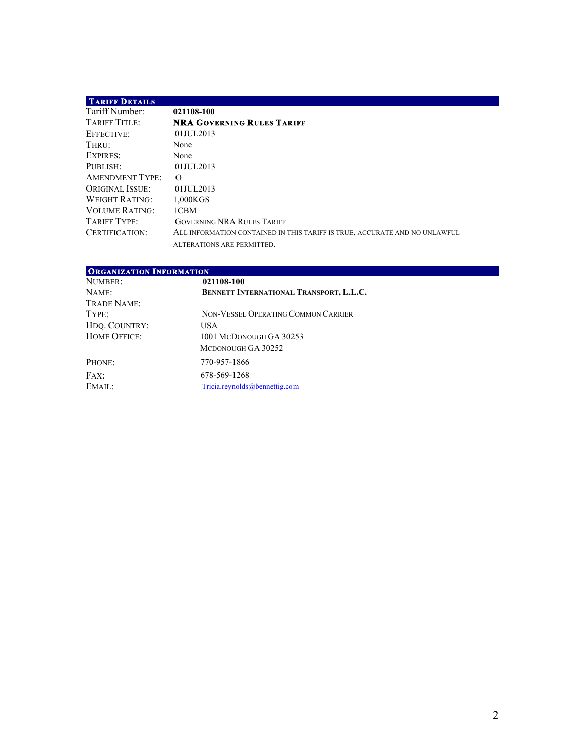### **TARIFF DETAILS**

| 021108-100                                                                 |
|----------------------------------------------------------------------------|
| <b>NRA GOVERNING RULES TARIFF</b>                                          |
| $01$ JUL 2013                                                              |
| None                                                                       |
| None                                                                       |
| 01JUL2013                                                                  |
| $\Omega$                                                                   |
| 01JUL2013                                                                  |
| 1.000KGS                                                                   |
| 1CBM                                                                       |
| <b>GOVERNING NRA RULES TARIFF</b>                                          |
| ALL INFORMATION CONTAINED IN THIS TARIFF IS TRUE, ACCURATE AND NO UNLAWFUL |
| ALTERATIONS ARE PERMITTED.                                                 |
|                                                                            |

| <b>ORGANIZATION INFORMATION</b> |                                                |  |
|---------------------------------|------------------------------------------------|--|
| NUMBER:                         | 021108-100                                     |  |
| NAME:                           | <b>BENNETT INTERNATIONAL TRANSPORT, L.L.C.</b> |  |
| TRADE NAME:                     |                                                |  |
| TYPE:                           | NON-VESSEL OPERATING COMMON CARRIER            |  |
| HDQ. COUNTRY:                   | USA.                                           |  |
| <b>HOME OFFICE:</b>             | 1001 MCDONOUGH GA 30253                        |  |
|                                 | MCDONOUGH GA 30252                             |  |
| PHONE:                          | 770-957-1866                                   |  |
| FAX:                            | 678-569-1268                                   |  |
| EMAIL:                          | Tricia.revnolds@bennettig.com                  |  |

 $\mathcal{L}_{\mathcal{A}}$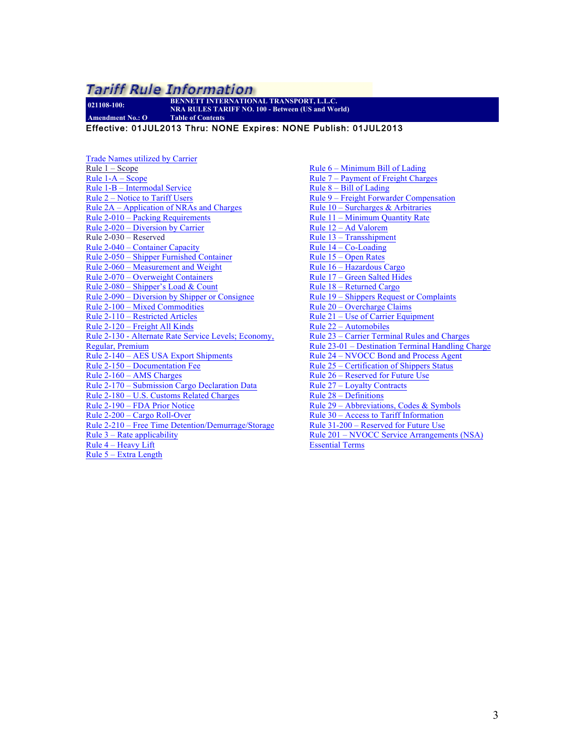**021108-100: BENNETT INTERNATIONAL TRANSPORT, L.L.C. NRA RULES TARIFF NO. 100 - Between (US and World) Amendment No.: O Table of Contents**

Effective: 01JUL2013 Thru: NONE Expires: NONE Publish: 01JUL2013

Trade Names utilized by Carrier Rule 1 – Scope Rule 1-A – Scope Rule 1-B – Intermodal Service Rule 2 – Notice to Tariff Users Rule 2A – Application of NRAs and Charges Rule 2-010 – Packing Requirements Rule 2-020 – Diversion by Carrier Rule 2-030 – Reserved Rule 2-040 – Container Capacity Rule 2-050 – Shipper Furnished Container Rule 2-060 – Measurement and Weight Rule 2-070 – Overweight Containers Rule 2-080 – Shipper's Load & Count Rule 2-090 – Diversion by Shipper or Consignee Rule 2-100 – Mixed Commodities Rule 2-110 – Restricted Articles Rule 2-120 – Freight All Kinds Rule 2-130 - Alternate Rate Service Levels; Economy, Regular, Premium Rule 2-140 – AES USA Export Shipments Rule 2-150 – Documentation Fee Rule 2-160 – AMS Charges Rule 2-170 – Submission Cargo Declaration Data Rule 2-180 – U.S. Customs Related Charges Rule 2-190 – FDA Prior Notice Rule 2-200 – Cargo Roll-Over Rule 2-210 – Free Time Detention/Demurrage/Storage Rule  $3$  – Rate applicability Rule 4 – Heavy Lift Rule 5 – Extra Length

Rule 6 – Minimum Bill of Lading Rule 7 – Payment of Freight Charges Rule  $8 -$  Bill of Lading Rule 9 – Freight Forwarder Compensation Rule 10 – Surcharges & Arbitraries Rule 11 – Minimum Quantity Rate Rule 12 – Ad Valorem Rule 13 – Transshipment Rule 14 – Co-Loading Rule 15 – Open Rates Rule 16 – Hazardous Cargo Rule 17 – Green Salted Hides Rule 18 – Returned Cargo Rule 19 – Shippers Request or Complaints Rule 20 – Overcharge Claims Rule 21 – Use of Carrier Equipment Rule 22 – Automobiles Rule 23 – Carrier Terminal Rules and Charges Rule 23-01 – Destination Terminal Handling Charge Rule 24 – NVOCC Bond and Process Agent Rule 25 – Certification of Shippers Status Rule 26 – Reserved for Future Use Rule 27 – Loyalty Contracts Rule 28 – Definitions Rule 29 – Abbreviations, Codes & Symbols Rule 30 – Access to Tariff Information Rule 31-200 – Reserved for Future Use Rule 201 – NVOCC Service Arrangements (NSA) Essential Terms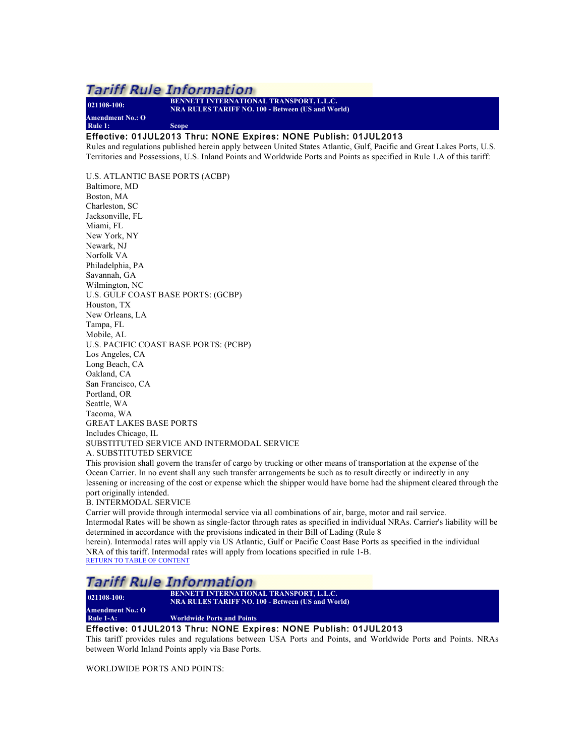**021108-100: BENNETT INTERNATIONAL TRANSPORT, L.L.C. NRA RULES TARIFF NO. 100 - Between (US and World) Amendment No.: O Rule 1: Scope**

#### Effective: 01JUL2013 Thru: NONE Expires: NONE Publish: 01JUL2013

Rules and regulations published herein apply between United States Atlantic, Gulf, Pacific and Great Lakes Ports, U.S. Territories and Possessions, U.S. Inland Points and Worldwide Ports and Points as specified in Rule 1.A of this tariff:

U.S. ATLANTIC BASE PORTS (ACBP) Baltimore, MD Boston, MA Charleston, SC Jacksonville, FL Miami, FL New York, NY Newark, NJ Norfolk VA Philadelphia, PA Savannah, GA Wilmington, NC U.S. GULF COAST BASE PORTS: (GCBP) Houston, TX New Orleans, LA Tampa, FL Mobile, AL U.S. PACIFIC COAST BASE PORTS: (PCBP) Los Angeles, CA Long Beach, CA Oakland, CA San Francisco, CA Portland, OR Seattle, WA Tacoma, WA GREAT LAKES BASE PORTS Includes Chicago, IL SUBSTITUTED SERVICE AND INTERMODAL SERVICE A. SUBSTITUTED SERVICE

This provision shall govern the transfer of cargo by trucking or other means of transportation at the expense of the Ocean Carrier. In no event shall any such transfer arrangements be such as to result directly or indirectly in any lessening or increasing of the cost or expense which the shipper would have borne had the shipment cleared through the port originally intended.

#### B. INTERMODAL SERVICE

Carrier will provide through intermodal service via all combinations of air, barge, motor and rail service. Intermodal Rates will be shown as single-factor through rates as specified in individual NRAs. Carrier's liability will be determined in accordance with the provisions indicated in their Bill of Lading (Rule 8

herein). Intermodal rates will apply via US Atlantic, Gulf or Pacific Coast Base Ports as specified in the individual NRA of this tariff. Intermodal rates will apply from locations specified in rule 1-B. RETURN TO TABLE OF CONTENT

### **Tariff Rule Information**

**021108-100: BENNETT INTERNATIONAL TRANSPORT, L.L.C. NRA RULES TARIFF NO. 100 - Between (US and World) Amendment No.: O**

**Worldwide Ports and Points** 

#### Effective: 01JUL2013 Thru: NONE Expires: NONE Publish: 01JUL2013

This tariff provides rules and regulations between USA Ports and Points, and Worldwide Ports and Points. NRAs between World Inland Points apply via Base Ports.

WORLDWIDE PORTS AND POINTS: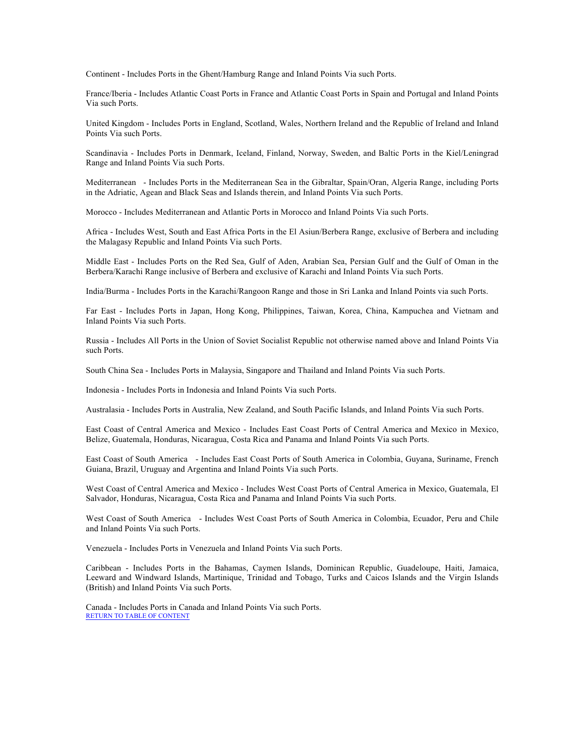Continent - Includes Ports in the Ghent/Hamburg Range and Inland Points Via such Ports.

France/Iberia - Includes Atlantic Coast Ports in France and Atlantic Coast Ports in Spain and Portugal and Inland Points Via such Ports.

United Kingdom - Includes Ports in England, Scotland, Wales, Northern Ireland and the Republic of Ireland and Inland Points Via such Ports.

Scandinavia - Includes Ports in Denmark, Iceland, Finland, Norway, Sweden, and Baltic Ports in the Kiel/Leningrad Range and Inland Points Via such Ports.

Mediterranean - Includes Ports in the Mediterranean Sea in the Gibraltar, Spain/Oran, Algeria Range, including Ports in the Adriatic, Agean and Black Seas and Islands therein, and Inland Points Via such Ports.

Morocco - Includes Mediterranean and Atlantic Ports in Morocco and Inland Points Via such Ports.

Africa - Includes West, South and East Africa Ports in the El Asiun/Berbera Range, exclusive of Berbera and including the Malagasy Republic and Inland Points Via such Ports.

Middle East - Includes Ports on the Red Sea, Gulf of Aden, Arabian Sea, Persian Gulf and the Gulf of Oman in the Berbera/Karachi Range inclusive of Berbera and exclusive of Karachi and Inland Points Via such Ports.

India/Burma - Includes Ports in the Karachi/Rangoon Range and those in Sri Lanka and Inland Points via such Ports.

Far East - Includes Ports in Japan, Hong Kong, Philippines, Taiwan, Korea, China, Kampuchea and Vietnam and Inland Points Via such Ports.

Russia - Includes All Ports in the Union of Soviet Socialist Republic not otherwise named above and Inland Points Via such Ports.

South China Sea - Includes Ports in Malaysia, Singapore and Thailand and Inland Points Via such Ports.

Indonesia - Includes Ports in Indonesia and Inland Points Via such Ports.

Australasia - Includes Ports in Australia, New Zealand, and South Pacific Islands, and Inland Points Via such Ports.

East Coast of Central America and Mexico - Includes East Coast Ports of Central America and Mexico in Mexico, Belize, Guatemala, Honduras, Nicaragua, Costa Rica and Panama and Inland Points Via such Ports.

East Coast of South America - Includes East Coast Ports of South America in Colombia, Guyana, Suriname, French Guiana, Brazil, Uruguay and Argentina and Inland Points Via such Ports.

West Coast of Central America and Mexico - Includes West Coast Ports of Central America in Mexico, Guatemala, El Salvador, Honduras, Nicaragua, Costa Rica and Panama and Inland Points Via such Ports.

West Coast of South America - Includes West Coast Ports of South America in Colombia, Ecuador, Peru and Chile and Inland Points Via such Ports.

Venezuela - Includes Ports in Venezuela and Inland Points Via such Ports.

Caribbean - Includes Ports in the Bahamas, Caymen Islands, Dominican Republic, Guadeloupe, Haiti, Jamaica, Leeward and Windward Islands, Martinique, Trinidad and Tobago, Turks and Caicos Islands and the Virgin Islands (British) and Inland Points Via such Ports.

Canada - Includes Ports in Canada and Inland Points Via such Ports. RETURN TO TABLE OF CONTENT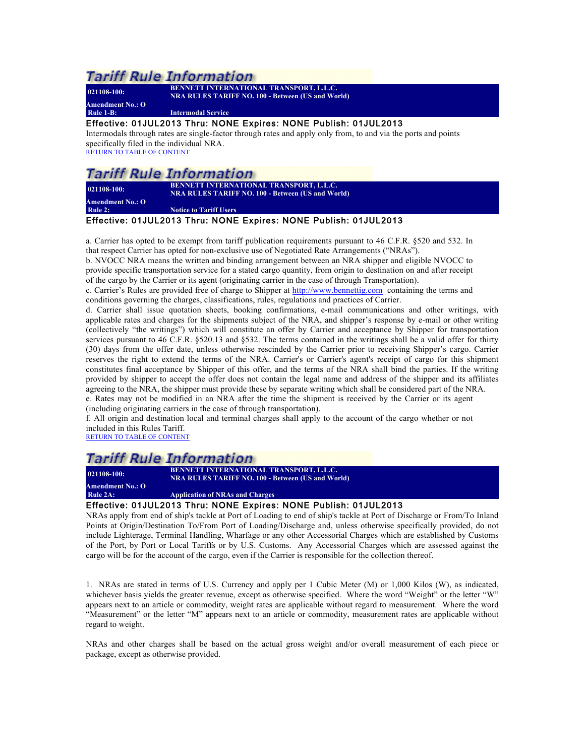**Amendment No.: O**

**021108-100: BENNETT INTERNATIONAL TRANSPORT, L.L.C. NRA RULES TARIFF NO. 100 - Between (US and World)**

**Rule 1-B: Intermodal Service**

#### Effective: 01JUL2013 Thru: NONE Expires: NONE Publish: 01JUL2013

Intermodals through rates are single-factor through rates and apply only from, to and via the ports and points specifically filed in the individual NRA.

RETURN TO TABLE OF CONTENT

### **Tariff Rule Information**

**021108-100: BENNETT INTERNATIONAL TRANSPORT, L.L.C. NRA RULES TARIFF NO. 100 - Between (US and World)**

**Amendment No.: O Rotice to Tariff Users** 

### Effective: 01JUL2013 Thru: NONE Expires: NONE Publish: 01JUL2013

a. Carrier has opted to be exempt from tariff publication requirements pursuant to 46 C.F.R. §520 and 532. In that respect Carrier has opted for non-exclusive use of Negotiated Rate Arrangements ("NRAs").

b. NVOCC NRA means the written and binding arrangement between an NRA shipper and eligible NVOCC to provide specific transportation service for a stated cargo quantity, from origin to destination on and after receipt of the cargo by the Carrier or its agent (originating carrier in the case of through Transportation).

c. Carrier's Rules are provided free of charge to Shipper at http://www.bennettig.com containing the terms and conditions governing the charges, classifications, rules, regulations and practices of Carrier.

d. Carrier shall issue quotation sheets, booking confirmations, e-mail communications and other writings, with applicable rates and charges for the shipments subject of the NRA, and shipper's response by e-mail or other writing (collectively "the writings") which will constitute an offer by Carrier and acceptance by Shipper for transportation services pursuant to 46 C.F.R. §520.13 and §532. The terms contained in the writings shall be a valid offer for thirty (30) days from the offer date, unless otherwise rescinded by the Carrier prior to receiving Shipper's cargo. Carrier reserves the right to extend the terms of the NRA. Carrier's or Carrier's agent's receipt of cargo for this shipment constitutes final acceptance by Shipper of this offer, and the terms of the NRA shall bind the parties. If the writing provided by shipper to accept the offer does not contain the legal name and address of the shipper and its affiliates agreeing to the NRA, the shipper must provide these by separate writing which shall be considered part of the NRA. e. Rates may not be modified in an NRA after the time the shipment is received by the Carrier or its agent

(including originating carriers in the case of through transportation).

f. All origin and destination local and terminal charges shall apply to the account of the cargo whether or not included in this Rules Tariff.

RETURN TO TABLE OF CONTENT

### Tariff Rule Information

**021108-100: BENNETT INTERNATIONAL TRANSPORT, L.L.C. NRA RULES TARIFF NO. 100 - Between (US and World) Amendment No.: O**

### **Application of NRAs and Charges**

#### Effective: 01JUL2013 Thru: NONE Expires: NONE Publish: 01JUL2013

NRAs apply from end of ship's tackle at Port of Loading to end of ship's tackle at Port of Discharge or From/To Inland Points at Origin/Destination To/From Port of Loading/Discharge and, unless otherwise specifically provided, do not include Lighterage, Terminal Handling, Wharfage or any other Accessorial Charges which are established by Customs of the Port, by Port or Local Tariffs or by U.S. Customs. Any Accessorial Charges which are assessed against the cargo will be for the account of the cargo, even if the Carrier is responsible for the collection thereof.

1. NRAs are stated in terms of U.S. Currency and apply per 1 Cubic Meter (M) or 1,000 Kilos (W), as indicated, whichever basis yields the greater revenue, except as otherwise specified. Where the word "Weight" or the letter "W" appears next to an article or commodity, weight rates are applicable without regard to measurement. Where the word "Measurement" or the letter "M" appears next to an article or commodity, measurement rates are applicable without regard to weight.

NRAs and other charges shall be based on the actual gross weight and/or overall measurement of each piece or package, except as otherwise provided.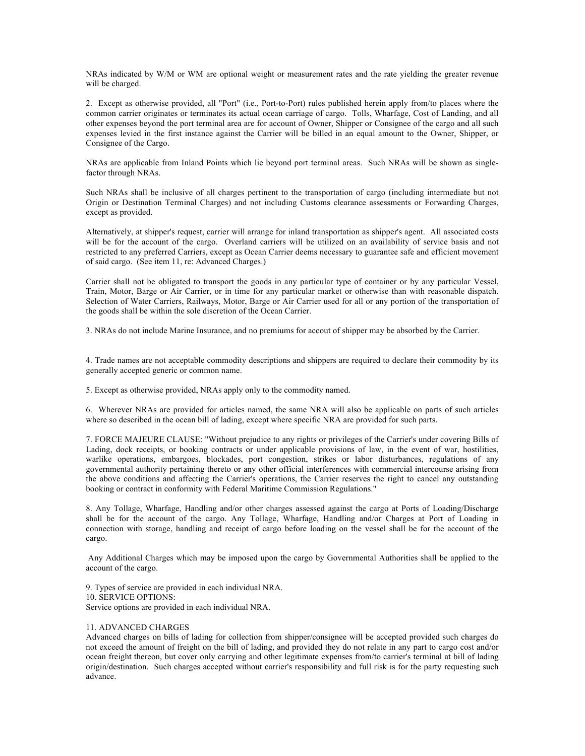NRAs indicated by W/M or WM are optional weight or measurement rates and the rate yielding the greater revenue will be charged.

2. Except as otherwise provided, all "Port" (i.e., Port-to-Port) rules published herein apply from/to places where the common carrier originates or terminates its actual ocean carriage of cargo. Tolls, Wharfage, Cost of Landing, and all other expenses beyond the port terminal area are for account of Owner, Shipper or Consignee of the cargo and all such expenses levied in the first instance against the Carrier will be billed in an equal amount to the Owner, Shipper, or Consignee of the Cargo.

NRAs are applicable from Inland Points which lie beyond port terminal areas. Such NRAs will be shown as singlefactor through NRAs.

Such NRAs shall be inclusive of all charges pertinent to the transportation of cargo (including intermediate but not Origin or Destination Terminal Charges) and not including Customs clearance assessments or Forwarding Charges, except as provided.

Alternatively, at shipper's request, carrier will arrange for inland transportation as shipper's agent. All associated costs will be for the account of the cargo. Overland carriers will be utilized on an availability of service basis and not restricted to any preferred Carriers, except as Ocean Carrier deems necessary to guarantee safe and efficient movement of said cargo. (See item 11, re: Advanced Charges.)

Carrier shall not be obligated to transport the goods in any particular type of container or by any particular Vessel, Train, Motor, Barge or Air Carrier, or in time for any particular market or otherwise than with reasonable dispatch. Selection of Water Carriers, Railways, Motor, Barge or Air Carrier used for all or any portion of the transportation of the goods shall be within the sole discretion of the Ocean Carrier.

3. NRAs do not include Marine Insurance, and no premiums for accout of shipper may be absorbed by the Carrier.

4. Trade names are not acceptable commodity descriptions and shippers are required to declare their commodity by its generally accepted generic or common name.

5. Except as otherwise provided, NRAs apply only to the commodity named.

6. Wherever NRAs are provided for articles named, the same NRA will also be applicable on parts of such articles where so described in the ocean bill of lading, except where specific NRA are provided for such parts.

7. FORCE MAJEURE CLAUSE: "Without prejudice to any rights or privileges of the Carrier's under covering Bills of Lading, dock receipts, or booking contracts or under applicable provisions of law, in the event of war, hostilities, warlike operations, embargoes, blockades, port congestion, strikes or labor disturbances, regulations of any governmental authority pertaining thereto or any other official interferences with commercial intercourse arising from the above conditions and affecting the Carrier's operations, the Carrier reserves the right to cancel any outstanding booking or contract in conformity with Federal Maritime Commission Regulations."

8. Any Tollage, Wharfage, Handling and/or other charges assessed against the cargo at Ports of Loading/Discharge shall be for the account of the cargo. Any Tollage, Wharfage, Handling and/or Charges at Port of Loading in connection with storage, handling and receipt of cargo before loading on the vessel shall be for the account of the cargo.

Any Additional Charges which may be imposed upon the cargo by Governmental Authorities shall be applied to the account of the cargo.

9. Types of service are provided in each individual NRA. 10. SERVICE OPTIONS: Service options are provided in each individual NRA.

#### 11. ADVANCED CHARGES

Advanced charges on bills of lading for collection from shipper/consignee will be accepted provided such charges do not exceed the amount of freight on the bill of lading, and provided they do not relate in any part to cargo cost and/or ocean freight thereon, but cover only carrying and other legitimate expenses from/to carrier's terminal at bill of lading origin/destination. Such charges accepted without carrier's responsibility and full risk is for the party requesting such advance.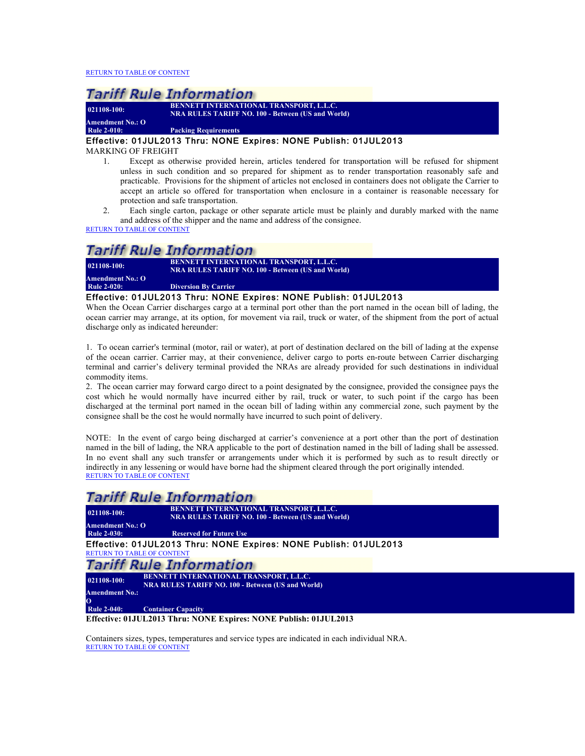**021108-100: BENNETT INTERNATIONAL TRANSPORT, L.L.C. NRA RULES TARIFF NO. 100 - Between (US and World)**

**Amendment No.: O Packing Requirements** 

#### Effective: 01JUL2013 Thru: NONE Expires: NONE Publish: 01JUL2013

MARKING OF FREIGHT

- 1. Except as otherwise provided herein, articles tendered for transportation will be refused for shipment unless in such condition and so prepared for shipment as to render transportation reasonably safe and practicable. Provisions for the shipment of articles not enclosed in containers does not obligate the Carrier to accept an article so offered for transportation when enclosure in a container is reasonable necessary for protection and safe transportation.
- 2. Each single carton, package or other separate article must be plainly and durably marked with the name and address of the shipper and the name and address of the consignee.

RETURN TO TABLE OF CONTENT

### **Tariff Rule Information**

| 021108-100:             | <b>BENNETT INTERNATIONAL TRANSPORT, L.L.C.</b><br><b>NRA RULES TARIFF NO. 100 - Between (US and World)</b> |
|-------------------------|------------------------------------------------------------------------------------------------------------|
| <b>Amendment No.: O</b> |                                                                                                            |
| <b>Rule 2-020:</b>      | <b>Diversion By Carrier</b>                                                                                |
|                         | Effective: 01JUL2013 Thru: NONE Expires: NONE Publish: 01JUL2013                                           |

When the Ocean Carrier discharges cargo at a terminal port other than the port named in the ocean bill of lading, the ocean carrier may arrange, at its option, for movement via rail, truck or water, of the shipment from the port of actual discharge only as indicated hereunder:

1. To ocean carrier's terminal (motor, rail or water), at port of destination declared on the bill of lading at the expense of the ocean carrier. Carrier may, at their convenience, deliver cargo to ports en-route between Carrier discharging terminal and carrier's delivery terminal provided the NRAs are already provided for such destinations in individual commodity items.

2. The ocean carrier may forward cargo direct to a point designated by the consignee, provided the consignee pays the cost which he would normally have incurred either by rail, truck or water, to such point if the cargo has been discharged at the terminal port named in the ocean bill of lading within any commercial zone, such payment by the consignee shall be the cost he would normally have incurred to such point of delivery.

NOTE: In the event of cargo being discharged at carrier's convenience at a port other than the port of destination named in the bill of lading, the NRA applicable to the port of destination named in the bill of lading shall be assessed. In no event shall any such transfer or arrangements under which it is performed by such as to result directly or indirectly in any lessening or would have borne had the shipment cleared through the port originally intended. RETURN TO TABLE OF CONTENT

### Tariff Rule Information

| $021108 - 100$ :      | BENNETT INTERNATIONAL TRANSPORT, L.L.C.<br><b>NRA RULES TARIFF NO. 100 - Between (US and World)</b> |
|-----------------------|-----------------------------------------------------------------------------------------------------|
| Amendment No.: O      |                                                                                                     |
| <b>Rule 2-030:</b>    | <b>Reserved for Future Use</b>                                                                      |
|                       | Effective: 01JUL2013 Thru: NONE Expires: NONE Publish: 01JUL2013                                    |
|                       | <b>RETURN TO TABLE OF CONTENT</b>                                                                   |
|                       | Tariff Rule Information                                                                             |
| $021108 - 100$ :      | <b>BENNETT INTERNATIONAL TRANSPORT, L.L.C.</b>                                                      |
|                       | <b>NRA RULES TARIFF NO. 100 - Between (US and World)</b>                                            |
| <b>Amendment No.:</b> |                                                                                                     |
| 0                     |                                                                                                     |
| <b>Rule 2-040:</b>    | <b>Container Capacity</b>                                                                           |

**Effective: 01JUL2013 Thru: NONE Expires: NONE Publish: 01JUL2013**

Containers sizes, types, temperatures and service types are indicated in each individual NRA. RETURN TO TABLE OF CONTENT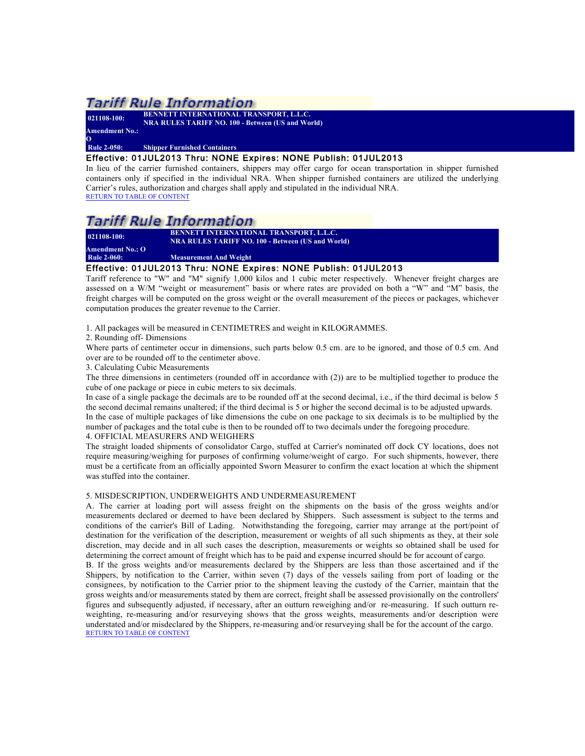**021108-100: BENNETT INTERNATIONAL TRANSPORT, L.L.C. NRA RULES TARIFF NO. 100 - Between (US and World) Amendment No.:** 

#### **Rule 2-050: Shipper Furnished Containers**

#### Effective: 01JUL2013 Thru: NONE Expires: NONE Publish: 01JUL2013

In lieu of the carrier furnished containers, shippers may offer cargo for ocean transportation in shipper furnished containers only if specified in the individual NRA. When shipper furnished containers are utilized the underlying Carrier's rules, authorization and charges shall apply and stipulated in the individual NRA. RETURN TO TABLE OF CONTENT

### *Tariff Rule Information*

**021108-100: BENNETT INTERNATIONAL TRANSPORT, L.L.C. NRA RULES TARIFF NO. 100 - Between (US and World)**

**Amendment No.: O Measurement And Weight** 

#### Effective: 01JUL2013 Thru: NONE Expires: NONE Publish: 01JUL2013

Tariff reference to "W" and "M" signify 1,000 kilos and 1 cubic meter respectively. Whenever freight charges are assessed on a W/M "weight or measurement" basis or where rates are provided on both a "W" and "M" basis, the freight charges will be computed on the gross weight or the overall measurement of the pieces or packages, whichever computation produces the greater revenue to the Carrier.

1. All packages will be measured in CENTIMETRES and weight in KILOGRAMMES.

2. Rounding off- Dimensions

Where parts of centimeter occur in dimensions, such parts below 0.5 cm. are to be ignored, and those of 0.5 cm. And over are to be rounded off to the centimeter above.

3. Calculating Cubic Measurements

The three dimensions in centimeters (rounded off in accordance with (2)) are to be multiplied together to produce the cube of one package or piece in cubic meters to six decimals.

In case of a single package the decimals are to be rounded off at the second decimal, i.e., if the third decimal is below 5 the second decimal remains unaltered; if the third decimal is 5 or higher the second decimal is to be adjusted upwards. In the case of multiple packages of like dimensions the cube on one package to six decimals is to be multiplied by the number of packages and the total cube is then to be rounded off to two decimals under the foregoing procedure. 4. OFFICIAL MEASURERS AND WEIGHERS

The straight loaded shipments of consolidator Cargo, stuffed at Carrier's nominated off dock CY locations, does not require measuring/weighing for purposes of confirming volume/weight of cargo. For such shipments, however, there must be a certificate from an officially appointed Sworn Measurer to confirm the exact location at which the shipment was stuffed into the container.

#### 5. MISDESCRIPTION, UNDERWEIGHTS AND UNDERMEASUREMENT

A. The carrier at loading port will assess freight on the shipments on the basis of the gross weights and/or measurements declared or deemed to have been declared by Shippers. Such assessment is subject to the terms and conditions of the carrier's Bill of Lading. Notwithstanding the foregoing, carrier may arrange at the port/point of destination for the verification of the description, measurement or weights of all such shipments as they, at their sole discretion, may decide and in all such cases the description, measurements or weights so obtained shall be used for determining the correct amount of freight which has to be paid and expense incurred should be for account of cargo.

B. If the gross weights and/or measurements declared by the Shippers are less than those ascertained and if the Shippers, by notification to the Carrier, within seven (7) days of the vessels sailing from port of loading or the consignees, by notification to the Carrier prior to the shipment leaving the custody of the Carrier, maintain that the gross weights and/or measurements stated by them are correct, freight shall be assessed provisionally on the controllers' figures and subsequently adjusted, if necessary, after an outturn reweighing and/or re-measuring. If such outturn reweighting, re-measuring and/or resurveying shows that the gross weights, measurements and/or description were understated and/or misdeclared by the Shippers, re-measuring and/or resurveying shall be for the account of the cargo. RETURN TO TABLE OF CONTENT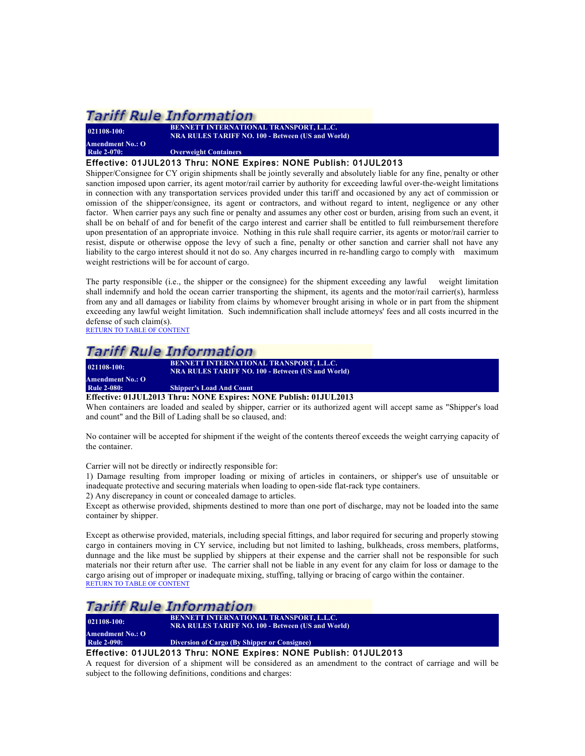**Amendment No.: O**

**021108-100: BENNETT INTERNATIONAL TRANSPORT, L.L.C. NRA RULES TARIFF NO. 100 - Between (US and World)**

*<u>Overweight Containers</u>* 

Effective: 01JUL2013 Thru: NONE Expires: NONE Publish: 01JUL2013

Shipper/Consignee for CY origin shipments shall be jointly severally and absolutely liable for any fine, penalty or other sanction imposed upon carrier, its agent motor/rail carrier by authority for exceeding lawful over-the-weight limitations in connection with any transportation services provided under this tariff and occasioned by any act of commission or omission of the shipper/consignee, its agent or contractors, and without regard to intent, negligence or any other factor. When carrier pays any such fine or penalty and assumes any other cost or burden, arising from such an event, it shall be on behalf of and for benefit of the cargo interest and carrier shall be entitled to full reimbursement therefore upon presentation of an appropriate invoice. Nothing in this rule shall require carrier, its agents or motor/rail carrier to resist, dispute or otherwise oppose the levy of such a fine, penalty or other sanction and carrier shall not have any liability to the cargo interest should it not do so. Any charges incurred in re-handling cargo to comply with maximum weight restrictions will be for account of cargo.

The party responsible (i.e., the shipper or the consignee) for the shipment exceeding any lawful weight limitation shall indemnify and hold the ocean carrier transporting the shipment, its agents and the motor/rail carrier(s), harmless from any and all damages or liability from claims by whomever brought arising in whole or in part from the shipment exceeding any lawful weight limitation. Such indemnification shall include attorneys' fees and all costs incurred in the defense of such claim(s).

RETURN TO TABLE OF CONTENT

### **Tariff Rule Information**

**021108-100: BENNETT INTERNATIONAL TRANSPORT, L.L.C. NRA RULES TARIFF NO. 100 - Between (US and World) Amendment No.: O**

**Shipper's Load And Count** 

**Effective: 01JUL2013 Thru: NONE Expires: NONE Publish: 01JUL2013**

When containers are loaded and sealed by shipper, carrier or its authorized agent will accept same as "Shipper's load and count" and the Bill of Lading shall be so claused, and:

No container will be accepted for shipment if the weight of the contents thereof exceeds the weight carrying capacity of the container.

Carrier will not be directly or indirectly responsible for:

1) Damage resulting from improper loading or mixing of articles in containers, or shipper's use of unsuitable or inadequate protective and securing materials when loading to open-side flat-rack type containers.

2) Any discrepancy in count or concealed damage to articles.

Except as otherwise provided, shipments destined to more than one port of discharge, may not be loaded into the same container by shipper.

Except as otherwise provided, materials, including special fittings, and labor required for securing and properly stowing cargo in containers moving in CY service, including but not limited to lashing, bulkheads, cross members, platforms, dunnage and the like must be supplied by shippers at their expense and the carrier shall not be responsible for such materials nor their return after use. The carrier shall not be liable in any event for any claim for loss or damage to the cargo arising out of improper or inadequate mixing, stuffing, tallying or bracing of cargo within the container. RETURN TO TABLE OF CONTENT

### **Tariff Rule Information**

**021108-100: BENNETT INTERNATIONAL TRANSPORT, L.L.C. NRA RULES TARIFF NO. 100 - Between (US and World) Amendment No.: O Rule 2-090: Diversion of Cargo (By Shipper or Consignee)**

#### Effective: 01JUL2013 Thru: NONE Expires: NONE Publish: 01JUL2013

A request for diversion of a shipment will be considered as an amendment to the contract of carriage and will be subject to the following definitions, conditions and charges: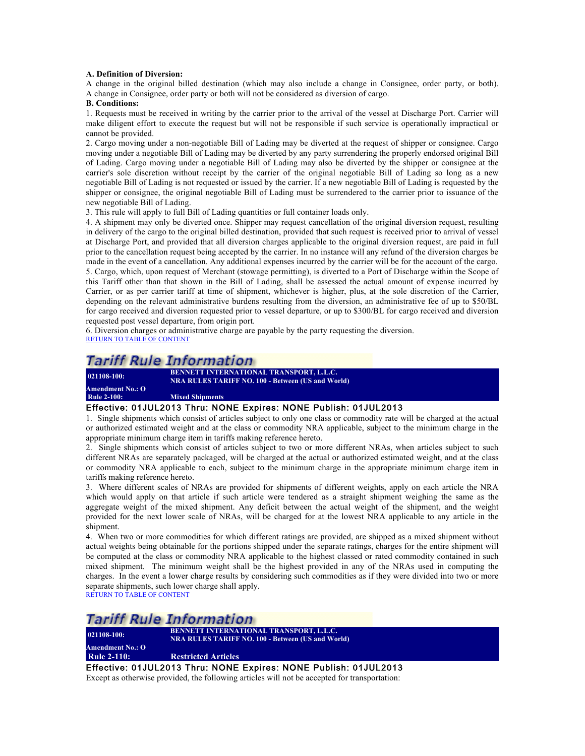#### **A. Definition of Diversion:**

A change in the original billed destination (which may also include a change in Consignee, order party, or both). A change in Consignee, order party or both will not be considered as diversion of cargo.

#### **B. Conditions:**

1. Requests must be received in writing by the carrier prior to the arrival of the vessel at Discharge Port. Carrier will make diligent effort to execute the request but will not be responsible if such service is operationally impractical or cannot be provided.

2. Cargo moving under a non-negotiable Bill of Lading may be diverted at the request of shipper or consignee. Cargo moving under a negotiable Bill of Lading may be diverted by any party surrendering the properly endorsed original Bill of Lading. Cargo moving under a negotiable Bill of Lading may also be diverted by the shipper or consignee at the carrier's sole discretion without receipt by the carrier of the original negotiable Bill of Lading so long as a new negotiable Bill of Lading is not requested or issued by the carrier. If a new negotiable Bill of Lading is requested by the shipper or consignee, the original negotiable Bill of Lading must be surrendered to the carrier prior to issuance of the new negotiable Bill of Lading.

3. This rule will apply to full Bill of Lading quantities or full container loads only.

4. A shipment may only be diverted once. Shipper may request cancellation of the original diversion request, resulting in delivery of the cargo to the original billed destination, provided that such request is received prior to arrival of vessel at Discharge Port, and provided that all diversion charges applicable to the original diversion request, are paid in full prior to the cancellation request being accepted by the carrier. In no instance will any refund of the diversion charges be made in the event of a cancellation. Any additional expenses incurred by the carrier will be for the account of the cargo. 5. Cargo, which, upon request of Merchant (stowage permitting), is diverted to a Port of Discharge within the Scope of this Tariff other than that shown in the Bill of Lading, shall be assessed the actual amount of expense incurred by Carrier, or as per carrier tariff at time of shipment, whichever is higher, plus, at the sole discretion of the Carrier, depending on the relevant administrative burdens resulting from the diversion, an administrative fee of up to \$50/BL for cargo received and diversion requested prior to vessel departure, or up to \$300/BL for cargo received and diversion requested post vessel departure, from origin port.

6. Diversion charges or administrative charge are payable by the party requesting the diversion. RETURN TO TABLE OF CONTENT

### *Tariff Rule Information*

**021108-100: BENNETT INTERNATIONAL TRANSPORT, L.L.C. NRA RULES TARIFF NO. 100 - Between (US and World)**

**Amendment No.: O Mixed Shipments** 

#### Effective: 01JUL2013 Thru: NONE Expires: NONE Publish: 01JUL2013

1. Single shipments which consist of articles subject to only one class or commodity rate will be charged at the actual or authorized estimated weight and at the class or commodity NRA applicable, subject to the minimum charge in the appropriate minimum charge item in tariffs making reference hereto.

2. Single shipments which consist of articles subject to two or more different NRAs, when articles subject to such different NRAs are separately packaged, will be charged at the actual or authorized estimated weight, and at the class or commodity NRA applicable to each, subject to the minimum charge in the appropriate minimum charge item in tariffs making reference hereto.

3. Where different scales of NRAs are provided for shipments of different weights, apply on each article the NRA which would apply on that article if such article were tendered as a straight shipment weighing the same as the aggregate weight of the mixed shipment. Any deficit between the actual weight of the shipment, and the weight provided for the next lower scale of NRAs, will be charged for at the lowest NRA applicable to any article in the shipment.

4. When two or more commodities for which different ratings are provided, are shipped as a mixed shipment without actual weights being obtainable for the portions shipped under the separate ratings, charges for the entire shipment will be computed at the class or commodity NRA applicable to the highest classed or rated commodity contained in such mixed shipment. The minimum weight shall be the highest provided in any of the NRAs used in computing the charges. In the event a lower charge results by considering such commodities as if they were divided into two or more separate shipments, such lower charge shall apply.

RETURN TO TABLE OF CONTENT

### Tariff Rule Information

**021108-100: BENNETT INTERNATIONAL TRANSPORT, L.L.C. NRA RULES TARIFF NO. 100 - Between (US and World)**

#### **Amendment No.: O Rule 2-110: Restricted Articles**

Effective: 01JUL2013 Thru: NONE Expires: NONE Publish: 01JUL2013 Except as otherwise provided, the following articles will not be accepted for transportation: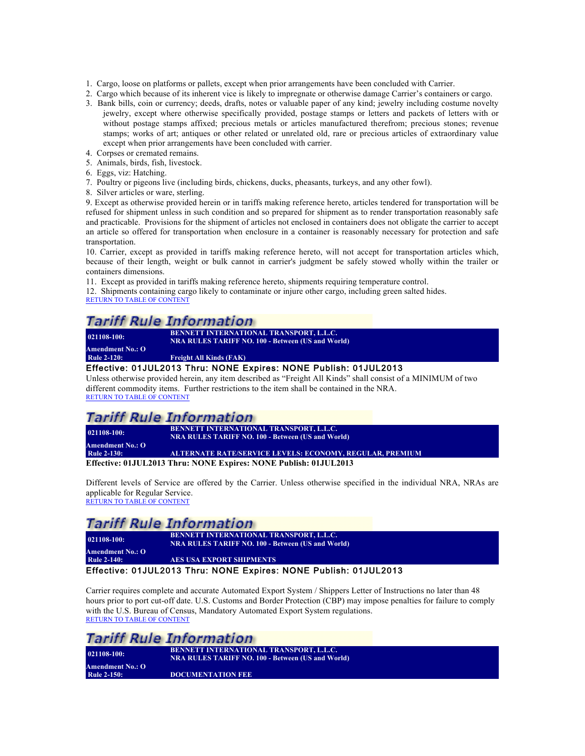- 1. Cargo, loose on platforms or pallets, except when prior arrangements have been concluded with Carrier.
- 2. Cargo which because of its inherent vice is likely to impregnate or otherwise damage Carrier's containers or cargo.
- 3. Bank bills, coin or currency; deeds, drafts, notes or valuable paper of any kind; jewelry including costume novelty jewelry, except where otherwise specifically provided, postage stamps or letters and packets of letters with or without postage stamps affixed; precious metals or articles manufactured therefrom; precious stones; revenue stamps; works of art; antiques or other related or unrelated old, rare or precious articles of extraordinary value except when prior arrangements have been concluded with carrier.
- 4. Corpses or cremated remains.
- 5. Animals, birds, fish, livestock.
- 6. Eggs, viz: Hatching.
- 7. Poultry or pigeons live (including birds, chickens, ducks, pheasants, turkeys, and any other fowl).
- 8. Silver articles or ware, sterling.

9. Except as otherwise provided herein or in tariffs making reference hereto, articles tendered for transportation will be refused for shipment unless in such condition and so prepared for shipment as to render transportation reasonably safe and practicable. Provisions for the shipment of articles not enclosed in containers does not obligate the carrier to accept an article so offered for transportation when enclosure in a container is reasonably necessary for protection and safe transportation.

10. Carrier, except as provided in tariffs making reference hereto, will not accept for transportation articles which, because of their length, weight or bulk cannot in carrier's judgment be safely stowed wholly within the trailer or containers dimensions.

11. Except as provided in tariffs making reference hereto, shipments requiring temperature control.

12. Shipments containing cargo likely to contaminate or injure other cargo, including green salted hides. RETURN TO TABLE OF CONTENT

### **Tariff Rule Information**

**021108-100: BENNETT INTERNATIONAL TRANSPORT, L.L.C. NRA RULES TARIFF NO. 100 - Between (US and World)**

**Amendment No.: O**

**Freight All Kinds (FAK)** 

#### Effective: 01JUL2013 Thru: NONE Expires: NONE Publish: 01JUL2013

Unless otherwise provided herein, any item described as "Freight All Kinds" shall consist of a MINIMUM of two different commodity items. Further restrictions to the item shall be contained in the NRA. RETURN TO TABLE OF CONTENT

### Tariff Rule Information

**021108-100: BENNETT INTERNATIONAL TRANSPORT, L.L.C. NRA RULES TARIFF NO. 100 - Between (US and World)**

**Amendment No.: O Rule 2-130: ALTERNATE RATE/SERVICE LEVELS: ECONOMY, REGULAR, PREMIUM**

**Effective: 01JUL2013 Thru: NONE Expires: NONE Publish: 01JUL2013**

Different levels of Service are offered by the Carrier. Unless otherwise specified in the individual NRA, NRAs are applicable for Regular Service. RETURN TO TABLE OF CONTENT

### *Tariff Rule Information*

**021108-100: BENNETT INTERNATIONAL TRANSPORT, L.L.C. NRA RULES TARIFF NO. 100 - Between (US and World) Amendment No.: O RES USA EXPORT SHIPMENTS** 

#### Effective: 01JUL2013 Thru: NONE Expires: NONE Publish: 01JUL2013

Carrier requires complete and accurate Automated Export System / Shippers Letter of Instructions no later than 48 hours prior to port cut-off date. U.S. Customs and Border Protection (CBP) may impose penalties for failure to comply with the U.S. Bureau of Census, Mandatory Automated Export System regulations. RETURN TO TABLE OF CONTENT

|                    | <b>Tariff Rule Information</b>                                                                             |
|--------------------|------------------------------------------------------------------------------------------------------------|
| $021108 - 100$ :   | <b>BENNETT INTERNATIONAL TRANSPORT, L.L.C.</b><br><b>NRA RULES TARIFF NO. 100 - Between (US and World)</b> |
| Amendment No.: O   |                                                                                                            |
| <b>Rule 2-150:</b> | <b>DOCUMENTATION FEE</b>                                                                                   |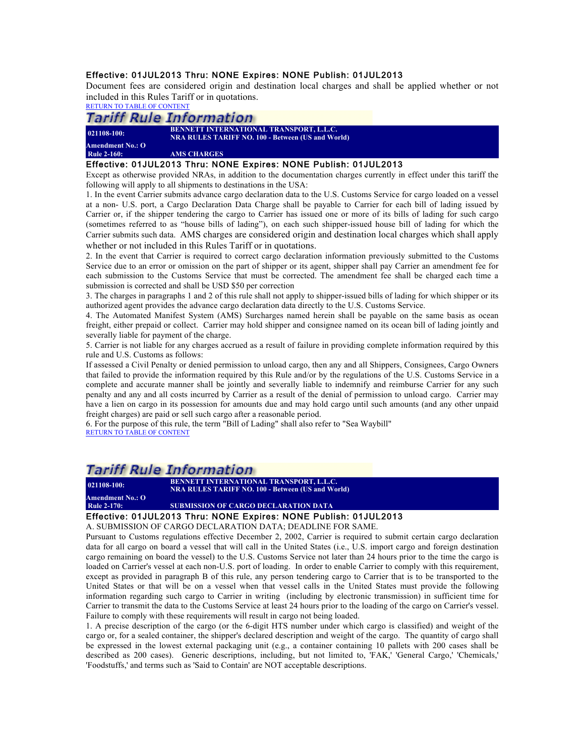#### Effective: 01JUL2013 Thru: NONE Expires: NONE Publish: 01JUL2013

Document fees are considered origin and destination local charges and shall be applied whether or not included in this Rules Tariff or in quotations.

RETURN TO TABLE OF CONTENT

### **Tariff Rule Information**

| $021108-100:$      | <b>BENNETT INTERNATIONAL TRANSPORT, L.L.C.</b><br><b>NRA RULES TARIFF NO. 100 - Between (US and World)</b> |
|--------------------|------------------------------------------------------------------------------------------------------------|
| Amendment No.: O   |                                                                                                            |
| <b>Rule 2-160:</b> | <b>AMS CHARGES</b>                                                                                         |

#### Effective: 01JUL2013 Thru: NONE Expires: NONE Publish: 01JUL2013

Except as otherwise provided NRAs, in addition to the documentation charges currently in effect under this tariff the following will apply to all shipments to destinations in the USA:

1. In the event Carrier submits advance cargo declaration data to the U.S. Customs Service for cargo loaded on a vessel at a non- U.S. port, a Cargo Declaration Data Charge shall be payable to Carrier for each bill of lading issued by Carrier or, if the shipper tendering the cargo to Carrier has issued one or more of its bills of lading for such cargo (sometimes referred to as "house bills of lading"), on each such shipper-issued house bill of lading for which the Carrier submits such data. AMS charges are considered origin and destination local charges which shall apply whether or not included in this Rules Tariff or in quotations.

2. In the event that Carrier is required to correct cargo declaration information previously submitted to the Customs Service due to an error or omission on the part of shipper or its agent, shipper shall pay Carrier an amendment fee for each submission to the Customs Service that must be corrected. The amendment fee shall be charged each time a submission is corrected and shall be USD \$50 per correction

3. The charges in paragraphs 1 and 2 of this rule shall not apply to shipper-issued bills of lading for which shipper or its authorized agent provides the advance cargo declaration data directly to the U.S. Customs Service.

4. The Automated Manifest System (AMS) Surcharges named herein shall be payable on the same basis as ocean freight, either prepaid or collect. Carrier may hold shipper and consignee named on its ocean bill of lading jointly and severally liable for payment of the charge.

5. Carrier is not liable for any charges accrued as a result of failure in providing complete information required by this rule and U.S. Customs as follows:

If assessed a Civil Penalty or denied permission to unload cargo, then any and all Shippers, Consignees, Cargo Owners that failed to provide the information required by this Rule and/or by the regulations of the U.S. Customs Service in a complete and accurate manner shall be jointly and severally liable to indemnify and reimburse Carrier for any such penalty and any and all costs incurred by Carrier as a result of the denial of permission to unload cargo. Carrier may have a lien on cargo in its possession for amounts due and may hold cargo until such amounts (and any other unpaid freight charges) are paid or sell such cargo after a reasonable period.

6. For the purpose of this rule, the term "Bill of Lading" shall also refer to "Sea Waybill" RETURN TO TABLE OF CONTENT

### Tariff Rule Information

**021108-100: BENNETT INTERNATIONAL TRANSPORT, L.L.C. NRA RULES TARIFF NO. 100 - Between (US and World)**

**Amendment No.: O Rule 2-170: SUBMISSION OF CARGO DECLARATION DATA**

#### Effective: 01JUL2013 Thru: NONE Expires: NONE Publish: 01JUL2013

A. SUBMISSION OF CARGO DECLARATION DATA; DEADLINE FOR SAME.

Pursuant to Customs regulations effective December 2, 2002, Carrier is required to submit certain cargo declaration data for all cargo on board a vessel that will call in the United States (i.e., U.S. import cargo and foreign destination cargo remaining on board the vessel) to the U.S. Customs Service not later than 24 hours prior to the time the cargo is loaded on Carrier's vessel at each non-U.S. port of loading. In order to enable Carrier to comply with this requirement, except as provided in paragraph B of this rule, any person tendering cargo to Carrier that is to be transported to the United States or that will be on a vessel when that vessel calls in the United States must provide the following information regarding such cargo to Carrier in writing (including by electronic transmission) in sufficient time for Carrier to transmit the data to the Customs Service at least 24 hours prior to the loading of the cargo on Carrier's vessel. Failure to comply with these requirements will result in cargo not being loaded.

1. A precise description of the cargo (or the 6-digit HTS number under which cargo is classified) and weight of the cargo or, for a sealed container, the shipper's declared description and weight of the cargo. The quantity of cargo shall be expressed in the lowest external packaging unit (e.g., a container containing 10 pallets with 200 cases shall be described as 200 cases). Generic descriptions, including, but not limited to, 'FAK,' 'General Cargo,' 'Chemicals,' 'Foodstuffs,' and terms such as 'Said to Contain' are NOT acceptable descriptions.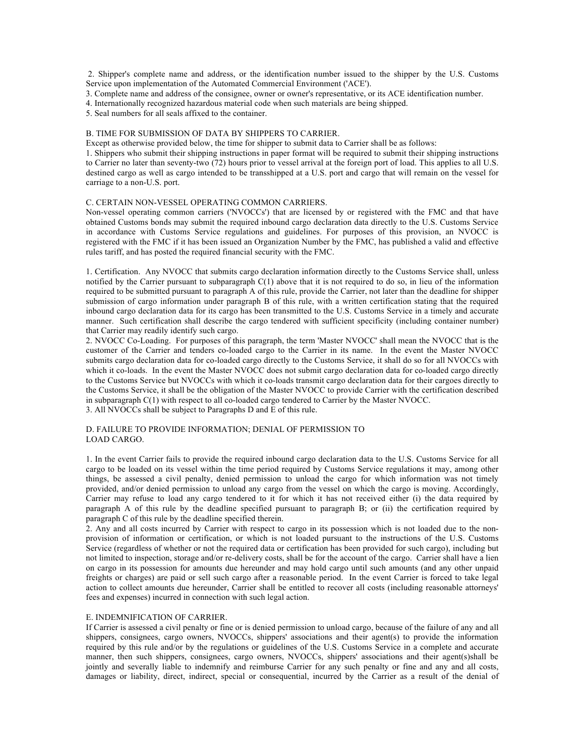2. Shipper's complete name and address, or the identification number issued to the shipper by the U.S. Customs Service upon implementation of the Automated Commercial Environment ('ACE').

3. Complete name and address of the consignee, owner or owner's representative, or its ACE identification number.

4. Internationally recognized hazardous material code when such materials are being shipped.

5. Seal numbers for all seals affixed to the container.

#### B. TIME FOR SUBMISSION OF DATA BY SHIPPERS TO CARRIER.

Except as otherwise provided below, the time for shipper to submit data to Carrier shall be as follows:

1. Shippers who submit their shipping instructions in paper format will be required to submit their shipping instructions to Carrier no later than seventy-two (72) hours prior to vessel arrival at the foreign port of load. This applies to all U.S. destined cargo as well as cargo intended to be transshipped at a U.S. port and cargo that will remain on the vessel for carriage to a non-U.S. port.

#### C. CERTAIN NON-VESSEL OPERATING COMMON CARRIERS.

Non-vessel operating common carriers ('NVOCCs') that are licensed by or registered with the FMC and that have obtained Customs bonds may submit the required inbound cargo declaration data directly to the U.S. Customs Service in accordance with Customs Service regulations and guidelines. For purposes of this provision, an NVOCC is registered with the FMC if it has been issued an Organization Number by the FMC, has published a valid and effective rules tariff, and has posted the required financial security with the FMC.

1. Certification. Any NVOCC that submits cargo declaration information directly to the Customs Service shall, unless notified by the Carrier pursuant to subparagraph  $C(1)$  above that it is not required to do so, in lieu of the information required to be submitted pursuant to paragraph A of this rule, provide the Carrier, not later than the deadline for shipper submission of cargo information under paragraph B of this rule, with a written certification stating that the required inbound cargo declaration data for its cargo has been transmitted to the U.S. Customs Service in a timely and accurate manner. Such certification shall describe the cargo tendered with sufficient specificity (including container number) that Carrier may readily identify such cargo.

2. NVOCC Co-Loading. For purposes of this paragraph, the term 'Master NVOCC' shall mean the NVOCC that is the customer of the Carrier and tenders co-loaded cargo to the Carrier in its name. In the event the Master NVOCC submits cargo declaration data for co-loaded cargo directly to the Customs Service, it shall do so for all NVOCCs with which it co-loads. In the event the Master NVOCC does not submit cargo declaration data for co-loaded cargo directly to the Customs Service but NVOCCs with which it co-loads transmit cargo declaration data for their cargoes directly to the Customs Service, it shall be the obligation of the Master NVOCC to provide Carrier with the certification described in subparagraph C(1) with respect to all co-loaded cargo tendered to Carrier by the Master NVOCC. 3. All NVOCCs shall be subject to Paragraphs D and E of this rule.

#### D. FAILURE TO PROVIDE INFORMATION; DENIAL OF PERMISSION TO LOAD CARGO.

1. In the event Carrier fails to provide the required inbound cargo declaration data to the U.S. Customs Service for all cargo to be loaded on its vessel within the time period required by Customs Service regulations it may, among other things, be assessed a civil penalty, denied permission to unload the cargo for which information was not timely provided, and/or denied permission to unload any cargo from the vessel on which the cargo is moving. Accordingly, Carrier may refuse to load any cargo tendered to it for which it has not received either (i) the data required by paragraph A of this rule by the deadline specified pursuant to paragraph B; or (ii) the certification required by

2. Any and all costs incurred by Carrier with respect to cargo in its possession which is not loaded due to the nonprovision of information or certification, or which is not loaded pursuant to the instructions of the U.S. Customs Service (regardless of whether or not the required data or certification has been provided for such cargo), including but not limited to inspection, storage and/or re-delivery costs, shall be for the account of the cargo. Carrier shall have a lien on cargo in its possession for amounts due hereunder and may hold cargo until such amounts (and any other unpaid freights or charges) are paid or sell such cargo after a reasonable period. In the event Carrier is forced to take legal action to collect amounts due hereunder, Carrier shall be entitled to recover all costs (including reasonable attorneys' fees and expenses) incurred in connection with such legal action.

#### E. INDEMNIFICATION OF CARRIER.

paragraph C of this rule by the deadline specified therein.

If Carrier is assessed a civil penalty or fine or is denied permission to unload cargo, because of the failure of any and all shippers, consignees, cargo owners, NVOCCs, shippers' associations and their agent(s) to provide the information required by this rule and/or by the regulations or guidelines of the U.S. Customs Service in a complete and accurate manner, then such shippers, consignees, cargo owners, NVOCCs, shippers' associations and their agent(s)shall be jointly and severally liable to indemnify and reimburse Carrier for any such penalty or fine and any and all costs, damages or liability, direct, indirect, special or consequential, incurred by the Carrier as a result of the denial of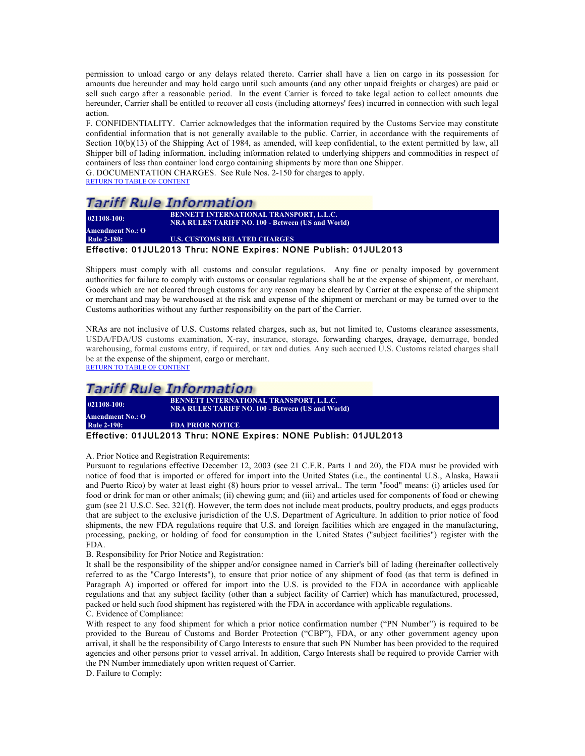permission to unload cargo or any delays related thereto. Carrier shall have a lien on cargo in its possession for amounts due hereunder and may hold cargo until such amounts (and any other unpaid freights or charges) are paid or sell such cargo after a reasonable period. In the event Carrier is forced to take legal action to collect amounts due hereunder, Carrier shall be entitled to recover all costs (including attorneys' fees) incurred in connection with such legal action.

F. CONFIDENTIALITY. Carrier acknowledges that the information required by the Customs Service may constitute confidential information that is not generally available to the public. Carrier, in accordance with the requirements of Section 10(b)(13) of the Shipping Act of 1984, as amended, will keep confidential, to the extent permitted by law, all Shipper bill of lading information, including information related to underlying shippers and commodities in respect of containers of less than container load cargo containing shipments by more than one Shipper.

G. DOCUMENTATION CHARGES. See Rule Nos. 2-150 for charges to apply. RETURN TO TABLE OF CONTENT

### *Tariff Rule Information*

| $021108 - 100$ :        | <b>BENNETT INTERNATIONAL TRANSPORT, L.L.C.</b><br><b>NRA RULES TARIFF NO. 100 - Between (US and World)</b> |
|-------------------------|------------------------------------------------------------------------------------------------------------|
| <b>Amendment No.: O</b> |                                                                                                            |
| <b>Rule 2-180:</b>      | <b>U.S. CUSTOMS RELATED CHARGES</b>                                                                        |
|                         | Effective: 01JUL2013 Thru: NONE Expires: NONE Publish: 01JUL2013                                           |

Shippers must comply with all customs and consular regulations. Any fine or penalty imposed by government authorities for failure to comply with customs or consular regulations shall be at the expense of shipment, or merchant. Goods which are not cleared through customs for any reason may be cleared by Carrier at the expense of the shipment or merchant and may be warehoused at the risk and expense of the shipment or merchant or may be turned over to the Customs authorities without any further responsibility on the part of the Carrier.

NRAs are not inclusive of U.S. Customs related charges, such as, but not limited to, Customs clearance assessments, USDA/FDA/US customs examination, X-ray, insurance, storage, forwarding charges, drayage, demurrage, bonded warehousing, formal customs entry, if required, or tax and duties. Any such accrued U.S. Customs related charges shall be at the expense of the shipment, cargo or merchant. RETURN TO TABLE OF CONTENT

### Tariff Rule Information

**021108-100: BENNETT INTERNATIONAL TRANSPORT, L.L.C. NRA RULES TARIFF NO. 100 - Between (US and World) Amendment No.: O Rule 2-190: FDA PRIOR NOTICE** Effective: 01JUL2013 Thru: NONE Expires: NONE Publish: 01JUL2013

A. Prior Notice and Registration Requirements:

Pursuant to regulations effective December 12, 2003 (see 21 C.F.R. Parts 1 and 20), the FDA must be provided with notice of food that is imported or offered for import into the United States (i.e., the continental U.S., Alaska, Hawaii and Puerto Rico) by water at least eight (8) hours prior to vessel arrival.. The term "food" means: (i) articles used for food or drink for man or other animals; (ii) chewing gum; and (iii) and articles used for components of food or chewing gum (see 21 U.S.C. Sec. 321(f). However, the term does not include meat products, poultry products, and eggs products that are subject to the exclusive jurisdiction of the U.S. Department of Agriculture. In addition to prior notice of food shipments, the new FDA regulations require that U.S. and foreign facilities which are engaged in the manufacturing, processing, packing, or holding of food for consumption in the United States ("subject facilities") register with the FDA.

B. Responsibility for Prior Notice and Registration:

It shall be the responsibility of the shipper and/or consignee named in Carrier's bill of lading (hereinafter collectively referred to as the "Cargo Interests"), to ensure that prior notice of any shipment of food (as that term is defined in Paragraph A) imported or offered for import into the U.S. is provided to the FDA in accordance with applicable regulations and that any subject facility (other than a subject facility of Carrier) which has manufactured, processed, packed or held such food shipment has registered with the FDA in accordance with applicable regulations. C. Evidence of Compliance:

With respect to any food shipment for which a prior notice confirmation number ("PN Number") is required to be provided to the Bureau of Customs and Border Protection ("CBP"), FDA, or any other government agency upon arrival, it shall be the responsibility of Cargo Interests to ensure that such PN Number has been provided to the required agencies and other persons prior to vessel arrival. In addition, Cargo Interests shall be required to provide Carrier with the PN Number immediately upon written request of Carrier.

D. Failure to Comply: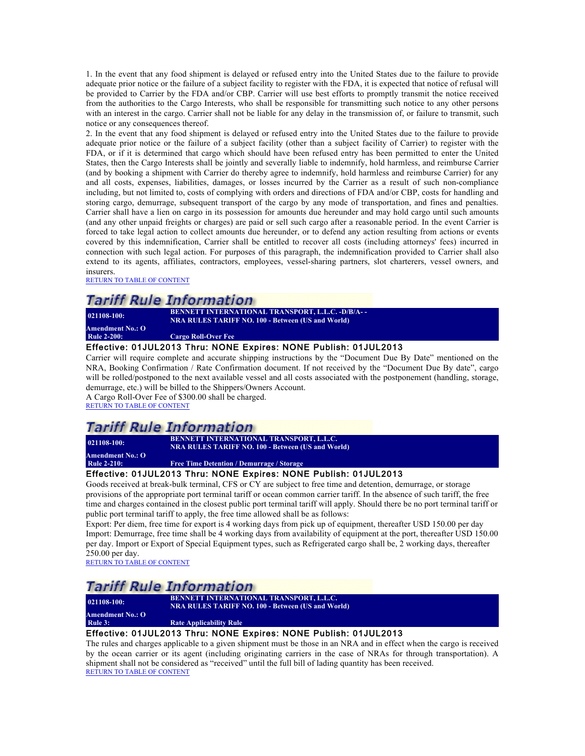1. In the event that any food shipment is delayed or refused entry into the United States due to the failure to provide adequate prior notice or the failure of a subject facility to register with the FDA, it is expected that notice of refusal will be provided to Carrier by the FDA and/or CBP. Carrier will use best efforts to promptly transmit the notice received from the authorities to the Cargo Interests, who shall be responsible for transmitting such notice to any other persons with an interest in the cargo. Carrier shall not be liable for any delay in the transmission of, or failure to transmit, such notice or any consequences thereof.

2. In the event that any food shipment is delayed or refused entry into the United States due to the failure to provide adequate prior notice or the failure of a subject facility (other than a subject facility of Carrier) to register with the FDA, or if it is determined that cargo which should have been refused entry has been permitted to enter the United States, then the Cargo Interests shall be jointly and severally liable to indemnify, hold harmless, and reimburse Carrier (and by booking a shipment with Carrier do thereby agree to indemnify, hold harmless and reimburse Carrier) for any and all costs, expenses, liabilities, damages, or losses incurred by the Carrier as a result of such non-compliance including, but not limited to, costs of complying with orders and directions of FDA and/or CBP, costs for handling and storing cargo, demurrage, subsequent transport of the cargo by any mode of transportation, and fines and penalties. Carrier shall have a lien on cargo in its possession for amounts due hereunder and may hold cargo until such amounts (and any other unpaid freights or charges) are paid or sell such cargo after a reasonable period. In the event Carrier is forced to take legal action to collect amounts due hereunder, or to defend any action resulting from actions or events covered by this indemnification, Carrier shall be entitled to recover all costs (including attorneys' fees) incurred in connection with such legal action. For purposes of this paragraph, the indemnification provided to Carrier shall also extend to its agents, affiliates, contractors, employees, vessel-sharing partners, slot charterers, vessel owners, and insurers.

RETURN TO TABLE OF CONTENT

### **Tariff Rule Information**

**021108-100: BENNETT INTERNATIONAL TRANSPORT, L.L.C. -D/B/A- - NRA RULES TARIFF NO. 100 - Between (US and World) Amendment No.: O Cargo Roll-Over Fee** 

#### Effective: 01JUL2013 Thru: NONE Expires: NONE Publish: 01JUL2013

Carrier will require complete and accurate shipping instructions by the "Document Due By Date" mentioned on the NRA, Booking Confirmation / Rate Confirmation document. If not received by the "Document Due By date", cargo will be rolled/postponed to the next available vessel and all costs associated with the postponement (handling, storage, demurrage, etc.) will be billed to the Shippers/Owners Account.

A Cargo Roll-Over Fee of \$300.00 shall be charged. RETURN TO TABLE OF CONTENT

### *Tariff Rule Information*

**021108-100: BENNETT INTERNATIONAL TRANSPORT, L.L.C.**

**Amendment No.: O**

Free Time Detention / Demurrage / Storage

**NRA RULES TARIFF NO. 100 - Between (US and World)**

#### Effective: 01JUL2013 Thru: NONE Expires: NONE Publish: 01JUL2013

Goods received at break-bulk terminal, CFS or CY are subject to free time and detention, demurrage, or storage provisions of the appropriate port terminal tariff or ocean common carrier tariff. In the absence of such tariff, the free time and charges contained in the closest public port terminal tariff will apply. Should there be no port terminal tariff or public port terminal tariff to apply, the free time allowed shall be as follows:

Export: Per diem, free time for export is 4 working days from pick up of equipment, thereafter USD 150.00 per day Import: Demurrage, free time shall be 4 working days from availability of equipment at the port, thereafter USD 150.00 per day. Import or Export of Special Equipment types, such as Refrigerated cargo shall be, 2 working days, thereafter 250.00 per day.

RETURN TO TABLE OF CONTENT

### **Tariff Rule Information**

**Amendment No.: O**

**021108-100: BENNETT INTERNATIONAL TRANSPORT, L.L.C. NRA RULES TARIFF NO. 100 - Between (US and World)**

**Rule 3:** Rate Applicability Rule

#### Effective: 01JUL2013 Thru: NONE Expires: NONE Publish: 01JUL2013

The rules and charges applicable to a given shipment must be those in an NRA and in effect when the cargo is received by the ocean carrier or its agent (including originating carriers in the case of NRAs for through transportation). A shipment shall not be considered as "received" until the full bill of lading quantity has been received. RETURN TO TABLE OF CONTENT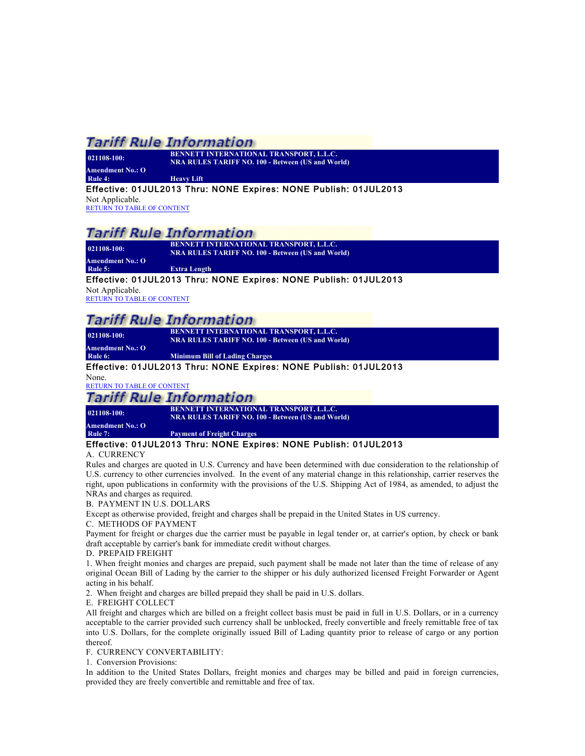| 021108-100:             | <b>BENNETT INTERNATIONAL TRANSPORT, L.L.C.</b><br><b>NRA RULES TARIFF NO. 100 - Between (US and World)</b> |
|-------------------------|------------------------------------------------------------------------------------------------------------|
| <b>Amendment No.: O</b> |                                                                                                            |
| Rule 4:                 | <b>Heavy Lift</b>                                                                                          |

#### Effective: 01JUL2013 Thru: NONE Expires: NONE Publish: 01JUL2013

Not Applicable. RETURN TO TABLE OF CONTENT

### **Tariff Rule Information**

**021108-100: BENNETT INTERNATIONAL TRANSPORT, L.L.C. NRA RULES TARIFF NO. 100 - Between (US and World)**

**Amendment No.: O Rule 5: Extra Length**

#### Effective: 01JUL2013 Thru: NONE Expires: NONE Publish: 01JUL2013

Not Applicable. RETURN TO TABLE OF CONTENT

## *Tariff Rule Information*

**021108-100: BENNETT INTERNATIONAL TRANSPORT, L.L.C. NRA RULES TARIFF NO. 100 - Between (US and World)**

**Amendment No.: O**

#### **Rule 6: Minimum Bill of Lading Charges**

#### Effective: 01JUL2013 Thru: NONE Expires: NONE Publish: 01JUL2013

None.

### RETURN TO TABLE OF CONTENT

**Tariff Rule Information** 

**Amendment No.: O**

# **021108-100: BENNETT INTERNATIONAL TRANSPORT, L.L.C. NRA RULES TARIFF NO. 100 - Between (US and World)**

**Rule 7: Payment of Freight Charges**

#### Effective: 01JUL2013 Thru: NONE Expires: NONE Publish: 01JUL2013

#### A. CURRENCY

Rules and charges are quoted in U.S. Currency and have been determined with due consideration to the relationship of U.S. currency to other currencies involved. In the event of any material change in this relationship, carrier reserves the right, upon publications in conformity with the provisions of the U.S. Shipping Act of 1984, as amended, to adjust the NRAs and charges as required.

#### B. PAYMENT IN U.S. DOLLARS

Except as otherwise provided, freight and charges shall be prepaid in the United States in US currency.

#### C. METHODS OF PAYMENT

Payment for freight or charges due the carrier must be payable in legal tender or, at carrier's option, by check or bank draft acceptable by carrier's bank for immediate credit without charges.

#### D. PREPAID FREIGHT

1. When freight monies and charges are prepaid, such payment shall be made not later than the time of release of any original Ocean Bill of Lading by the carrier to the shipper or his duly authorized licensed Freight Forwarder or Agent acting in his behalf.

2. When freight and charges are billed prepaid they shall be paid in U.S. dollars.

#### E. FREIGHT COLLECT

All freight and charges which are billed on a freight collect basis must be paid in full in U.S. Dollars, or in a currency acceptable to the carrier provided such currency shall be unblocked, freely convertible and freely remittable free of tax into U.S. Dollars, for the complete originally issued Bill of Lading quantity prior to release of cargo or any portion thereof.

#### F. CURRENCY CONVERTABILITY:

1. Conversion Provisions:

In addition to the United States Dollars, freight monies and charges may be billed and paid in foreign currencies, provided they are freely convertible and remittable and free of tax.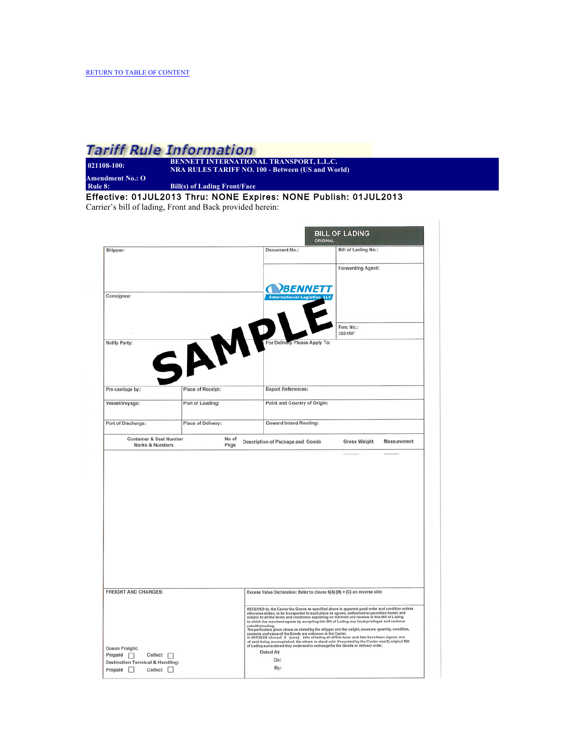| $021108 - 100$ :  | <b>BENNETT INTERNATIONAL TRANSPORT, L.L.C.</b><br><b>NRA RULES TARIFF NO. 100 - Between (US and Wo</b> |
|-------------------|--------------------------------------------------------------------------------------------------------|
| Amendment No.: O' |                                                                                                        |
| Rule 8:           | <b>Bill(s) of Lading Front/Face</b>                                                                    |

Effective: 01JUL2013 Thru: NONE Expires: NONE Publish: 01JUL2013 Carrier's bill of lading, Front and Back provided herein:

**en** (US and World)

**BILL OF LADING** Shipper: Document No.: **Bill of Lading No.:** Forwarding Agent: **NBENNETT** Consignee: SAMPL Fmc No.: 3854NF Notify Party: Apply To Place of Receipt: Export References: Pre-carriage by: Vessel/Voyage: Port of Loading: Point and Country of Origin: Port of Discharge: Place of Delivery: Onward Inland Routing: Container & Seal Number No of<br>Pkgs Description of Package and Goods **Gross Weight** Measurement FREIGHT AND CHARGES: Excess Value Declaration: Refer to clause 6(4) (B) + (C) on reverse side RECEIVED by the Carrier the Goods as specified above in apparent good order and condition unless<br>otherwise stated, to hat teamsported to such place as appeads, authorised or permitted herein and<br>subject to all the terms an Ocean Freight: Dated At: Prepaid  $\Box$  Collect  $\Box$ <br>Destination Terminal & Handling: On: By: Collect  $\square$ Prepaid  $\Box$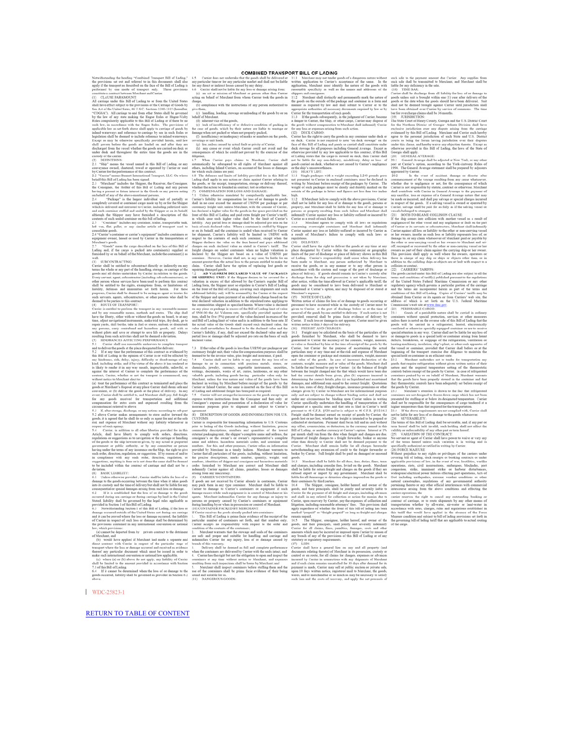WDC-25823-1

RETURN TO TABLE OF CONTENT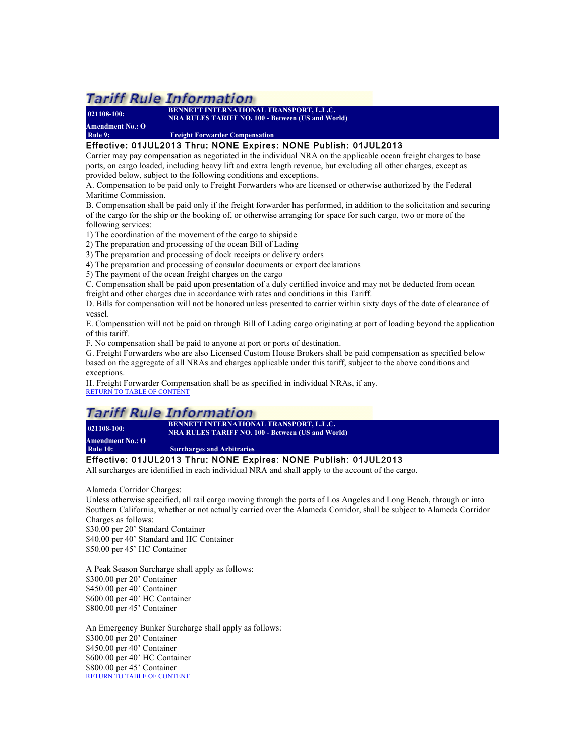**021108-100: BENNETT INTERNATIONAL TRANSPORT, L.L.C. NRA RULES TARIFF NO. 100 - Between (US and World) Amendment No.: O**

**Freight Forwarder Compensation** 

#### Effective: 01JUL2013 Thru: NONE Expires: NONE Publish: 01JUL2013

Carrier may pay compensation as negotiated in the individual NRA on the applicable ocean freight charges to base ports, on cargo loaded, including heavy lift and extra length revenue, but excluding all other charges, except as provided below, subject to the following conditions and exceptions.

A. Compensation to be paid only to Freight Forwarders who are licensed or otherwise authorized by the Federal Maritime Commission.

B. Compensation shall be paid only if the freight forwarder has performed, in addition to the solicitation and securing of the cargo for the ship or the booking of, or otherwise arranging for space for such cargo, two or more of the following services:

1) The coordination of the movement of the cargo to shipside

2) The preparation and processing of the ocean Bill of Lading

3) The preparation and processing of dock receipts or delivery orders

4) The preparation and processing of consular documents or export declarations

5) The payment of the ocean freight charges on the cargo

C. Compensation shall be paid upon presentation of a duly certified invoice and may not be deducted from ocean freight and other charges due in accordance with rates and conditions in this Tariff.

D. Bills for compensation will not be honored unless presented to carrier within sixty days of the date of clearance of vessel.

E. Compensation will not be paid on through Bill of Lading cargo originating at port of loading beyond the application of this tariff.

F. No compensation shall be paid to anyone at port or ports of destination.

G. Freight Forwarders who are also Licensed Custom House Brokers shall be paid compensation as specified below based on the aggregate of all NRAs and charges applicable under this tariff, subject to the above conditions and exceptions.

H. Freight Forwarder Compensation shall be as specified in individual NRAs, if any. RETURN TO TABLE OF CONTENT

### **Tariff Rule Information**

**021108-100: BENNETT INTERNATIONAL TRANSPORT, L.L.C. NRA RULES TARIFF NO. 100 - Between (US and World)**

**Amendment No.: O**

**Surcharges and Arbitraries** 

#### Effective: 01JUL2013 Thru: NONE Expires: NONE Publish: 01JUL2013

All surcharges are identified in each individual NRA and shall apply to the account of the cargo.

Alameda Corridor Charges:

Unless otherwise specified, all rail cargo moving through the ports of Los Angeles and Long Beach, through or into Southern California, whether or not actually carried over the Alameda Corridor, shall be subject to Alameda Corridor Charges as follows:

\$30.00 per 20' Standard Container \$40.00 per 40' Standard and HC Container \$50.00 per 45' HC Container

A Peak Season Surcharge shall apply as follows: \$300.00 per 20' Container \$450.00 per 40' Container \$600.00 per 40' HC Container \$800.00 per 45' Container

An Emergency Bunker Surcharge shall apply as follows: \$300.00 per 20' Container \$450.00 per 40' Container \$600.00 per 40' HC Container \$800.00 per 45' Container RETURN TO TABLE OF CONTENT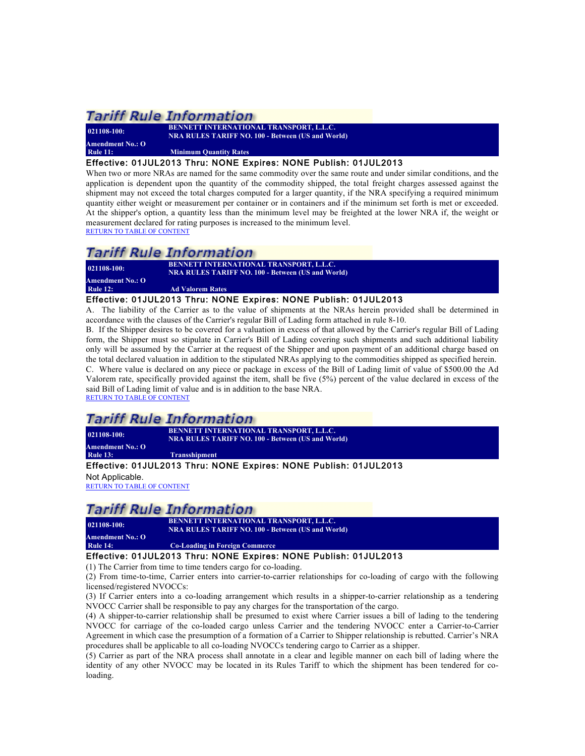**021108-100: BENNETT INTERNATIONAL TRANSPORT, L.L.C. Amendment No.: O**

**NRA RULES TARIFF NO. 100 - Between (US and World)**

**Minimum Quantity Rates** 

Effective: 01JUL2013 Thru: NONE Expires: NONE Publish: 01JUL2013

When two or more NRAs are named for the same commodity over the same route and under similar conditions, and the application is dependent upon the quantity of the commodity shipped, the total freight charges assessed against the shipment may not exceed the total charges computed for a larger quantity, if the NRA specifying a required minimum quantity either weight or measurement per container or in containers and if the minimum set forth is met or exceeded. At the shipper's option, a quantity less than the minimum level may be freighted at the lower NRA if, the weight or measurement declared for rating purposes is increased to the minimum level. RETURN TO TABLE OF CONTENT

### Tariff Rule Information

**021108-100: BENNETT INTERNATIONAL TRANSPORT, L.L.C. NRA RULES TARIFF NO. 100 - Between (US and World)**

**Amendment No.: O Rule 12:** Ad Valorem Rates

#### Effective: 01JUL2013 Thru: NONE Expires: NONE Publish: 01JUL2013

A. The liability of the Carrier as to the value of shipments at the NRAs herein provided shall be determined in accordance with the clauses of the Carrier's regular Bill of Lading form attached in rule 8-10.

B. If the Shipper desires to be covered for a valuation in excess of that allowed by the Carrier's regular Bill of Lading form, the Shipper must so stipulate in Carrier's Bill of Lading covering such shipments and such additional liability only will be assumed by the Carrier at the request of the Shipper and upon payment of an additional charge based on the total declared valuation in addition to the stipulated NRAs applying to the commodities shipped as specified herein. C. Where value is declared on any piece or package in excess of the Bill of Lading limit of value of \$500.00 the Ad Valorem rate, specifically provided against the item, shall be five (5%) percent of the value declared in excess of the said Bill of Lading limit of value and is in addition to the base NRA. RETURN TO TABLE OF CONTENT

### *Tariff Rule Information*

**021108-100: BENNETT INTERNATIONAL TRANSPORT, L.L.C. NRA RULES TARIFF NO. 100 - Between (US and World)**

**Amendment No.: O Rule 13: Transshipment**

#### Effective: 01JUL2013 Thru: NONE Expires: NONE Publish: 01JUL2013

Not Applicable. RETURN TO TABLE OF CONTENT

### Tariff Rule Information

**021108-100: BENNETT INTERNATIONAL TRANSPORT, L.L.C. NRA RULES TARIFF NO. 100 - Between (US and World)**

#### **Amendment No.: O Co-Loading in Foreign Commerce**

#### Effective: 01JUL2013 Thru: NONE Expires: NONE Publish: 01JUL2013

(1) The Carrier from time to time tenders cargo for co-loading.

(2) From time-to-time, Carrier enters into carrier-to-carrier relationships for co-loading of cargo with the following licensed/registered NVOCCs:

(3) If Carrier enters into a co-loading arrangement which results in a shipper-to-carrier relationship as a tendering NVOCC Carrier shall be responsible to pay any charges for the transportation of the cargo.

(4) A shipper-to-carrier relationship shall be presumed to exist where Carrier issues a bill of lading to the tendering NVOCC for carriage of the co-loaded cargo unless Carrier and the tendering NVOCC enter a Carrier-to-Carrier Agreement in which case the presumption of a formation of a Carrier to Shipper relationship is rebutted. Carrier's NRA procedures shall be applicable to all co-loading NVOCCs tendering cargo to Carrier as a shipper.

(5) Carrier as part of the NRA process shall annotate in a clear and legible manner on each bill of lading where the identity of any other NVOCC may be located in its Rules Tariff to which the shipment has been tendered for coloading.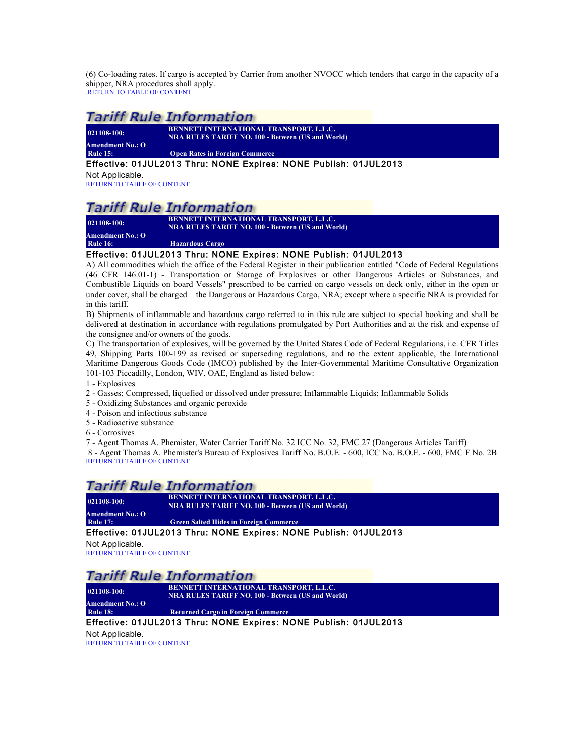(6) Co-loading rates. If cargo is accepted by Carrier from another NVOCC which tenders that cargo in the capacity of a shipper, NRA procedures shall apply.<br>RETURN TO TABLE OF CONTENT

### Tariff Rule Information

| 021108-100:                            |  |
|----------------------------------------|--|
| <b>Amendment No.: O</b>                |  |
| $\mathbf{m}$ $\mathbf{r}$ $\mathbf{r}$ |  |

**021108-100: BENNETT INTERNATIONAL TRANSPORT, L.L.C. NRA RULES TARIFF NO. 100 - Between (US and World)**

**Rule 15: Open Rates in Foreign Commerce**

Effective: 01JUL2013 Thru: NONE Expires: NONE Publish: 01JUL2013

Not Applicable. RETURN TO TABLE OF CONTENT

### Tariff Rule Information

**Amendment No.: O**

**021108-100: BENNETT INTERNATIONAL TRANSPORT, L.L.C. NRA RULES TARIFF NO. 100 - Between (US and World)**

**Rule 16: Hazardous Cargo**

#### Effective: 01JUL2013 Thru: NONE Expires: NONE Publish: 01JUL2013

A) All commodities which the office of the Federal Register in their publication entitled "Code of Federal Regulations (46 CFR 146.01-1) - Transportation or Storage of Explosives or other Dangerous Articles or Substances, and Combustible Liquids on board Vessels" prescribed to be carried on cargo vessels on deck only, either in the open or under cover, shall be charged the Dangerous or Hazardous Cargo, NRA; except where a specific NRA is provided for in this tariff.

B) Shipments of inflammable and hazardous cargo referred to in this rule are subject to special booking and shall be delivered at destination in accordance with regulations promulgated by Port Authorities and at the risk and expense of the consignee and/or owners of the goods.

C) The transportation of explosives, will be governed by the United States Code of Federal Regulations, i.e. CFR Titles 49, Shipping Parts 100-199 as revised or superseding regulations, and to the extent applicable, the International Maritime Dangerous Goods Code (IMCO) published by the Inter-Governmental Maritime Consultative Organization 101-103 Piccadilly, London, WIV, OAE, England as listed below:

- 1 Explosives
- 2 Gasses; Compressed, liquefied or dissolved under pressure; Inflammable Liquids; Inflammable Solids
- 5 Oxidizing Substances and organic peroxide
- 4 Poison and infectious substance
- 5 Radioactive substance
- 6 Corrosives

7 - Agent Thomas A. Phemister, Water Carrier Tariff No. 32 ICC No. 32, FMC 27 (Dangerous Articles Tariff) 8 - Agent Thomas A. Phemister's Bureau of Explosives Tariff No. B.O.E. - 600, ICC No. B.O.E. - 600, FMC F No. 2B RETURN TO TABLE OF CONTENT

### Tariff Rule Information

**Amendment No.: O**

**021108-100: BENNETT INTERNATIONAL TRANSPORT, L.L.C. NRA RULES TARIFF NO. 100 - Between (US and World)**

**Green Salted Hides in Foreign Commerce** 

#### Effective: 01JUL2013 Thru: NONE Expires: NONE Publish: 01JUL2013

Not Applicable.

RETURN TO TABLE OF CONTENT

### Tariff Rule Information

**021108-100: BENNETT INTERNATIONAL TRANSPORT, L.L.C. NRA RULES TARIFF NO. 100 - Between (US and World)**

**Amendment No.: O Rule 18: Returned Cargo in Foreign Commerce**

#### Effective: 01JUL2013 Thru: NONE Expires: NONE Publish: 01JUL2013

Not Applicable.

RETURN TO TABLE OF CONTENT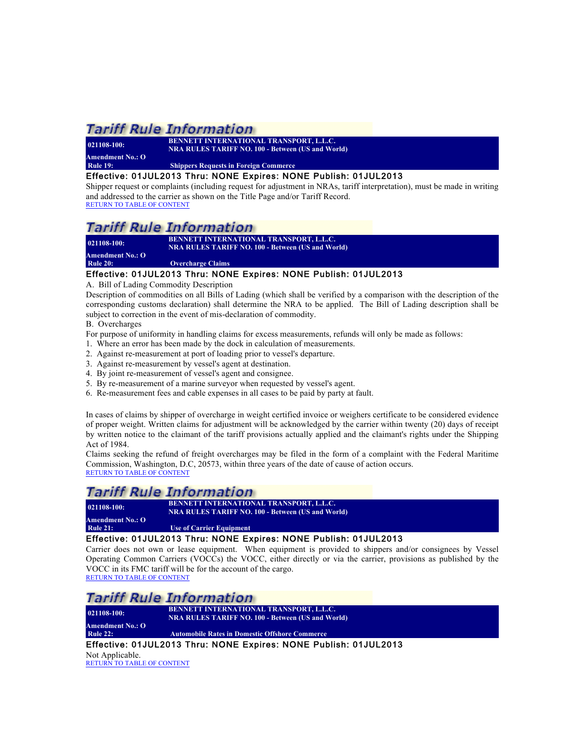**Amendment No.: O**

**021108-100: BENNETT INTERNATIONAL TRANSPORT, L.L.C. NRA RULES TARIFF NO. 100 - Between (US and World)**

**Rule 19: Shippers Requests in Foreign Commerce**

#### Effective: 01JUL2013 Thru: NONE Expires: NONE Publish: 01JUL2013

Shipper request or complaints (including request for adjustment in NRAs, tariff interpretation), must be made in writing and addressed to the carrier as shown on the Title Page and/or Tariff Record. RETURN TO TABLE OF CONTENT

### Tariff Rule Information

**021108-100: BENNETT INTERNATIONAL TRANSPORT, L.L.C. NRA RULES TARIFF NO. 100 - Between (US and World)**

**Amendment No.: O**

**Rule 20: Overcharge Claims** Effective: 01JUL2013 Thru: NONE Expires: NONE Publish: 01JUL2013

A. Bill of Lading Commodity Description

Description of commodities on all Bills of Lading (which shall be verified by a comparison with the description of the corresponding customs declaration) shall determine the NRA to be applied. The Bill of Lading description shall be subject to correction in the event of mis-declaration of commodity.

B. Overcharges

For purpose of uniformity in handling claims for excess measurements, refunds will only be made as follows:

- 1. Where an error has been made by the dock in calculation of measurements.
- 2. Against re-measurement at port of loading prior to vessel's departure.
- 3. Against re-measurement by vessel's agent at destination.
- 4. By joint re-measurement of vessel's agent and consignee.
- 5. By re-measurement of a marine surveyor when requested by vessel's agent.
- 6. Re-measurement fees and cable expenses in all cases to be paid by party at fault.

In cases of claims by shipper of overcharge in weight certified invoice or weighers certificate to be considered evidence of proper weight. Written claims for adjustment will be acknowledged by the carrier within twenty (20) days of receipt by written notice to the claimant of the tariff provisions actually applied and the claimant's rights under the Shipping Act of 1984.

Claims seeking the refund of freight overcharges may be filed in the form of a complaint with the Federal Maritime Commission, Washington, D.C, 20573, within three years of the date of cause of action occurs. RETURN TO TABLE OF CONTENT

### **Tariff Rule Information**

**021108-100: BENNETT INTERNATIONAL TRANSPORT, L.L.C. NRA RULES TARIFF NO. 100 - Between (US and World)**

**Amendment No.: O Use of Carrier Equipment** 

### Effective: 01JUL2013 Thru: NONE Expires: NONE Publish: 01JUL2013

Carrier does not own or lease equipment. When equipment is provided to shippers and/or consignees by Vessel Operating Common Carriers (VOCCs) the VOCC, either directly or via the carrier, provisions as published by the VOCC in its FMC tariff will be for the account of the cargo.

RETURN TO TABLE OF CONTENT

### Tariff Rule Information

**021108-100: BENNETT INTERNATIONAL TRANSPORT, L.L.C. NRA RULES TARIFF NO. 100 - Between (US and World) Amendment No.: O Automobile Rates in Domestic Offshore Commerce** 

Effective: 01JUL2013 Thru: NONE Expires: NONE Publish: 01JUL2013

Not Applicable. RETURN TO TABLE OF CONTENT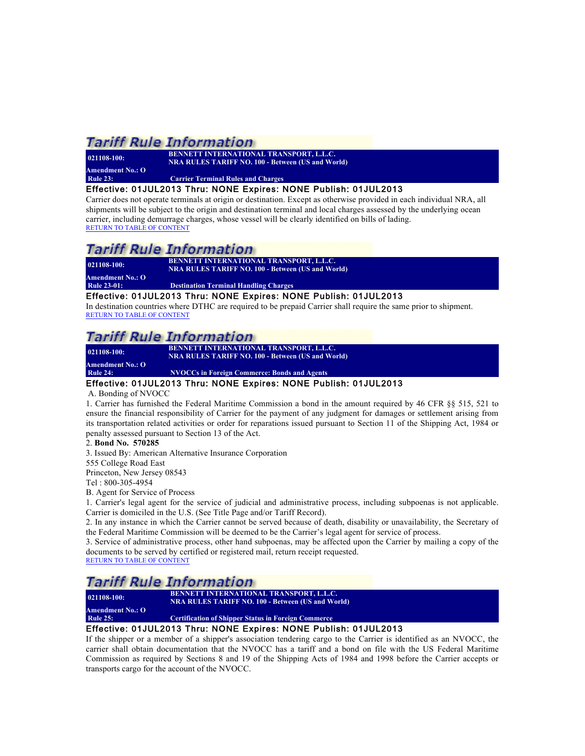| $021108 - 100$ : | <b>BENNETT INTERNATIONAL TRANSPORT, L.L.C.</b><br><b>NRA RULES TARIFF NO. 100 - Between (US and World)</b> |
|------------------|------------------------------------------------------------------------------------------------------------|
| Amendment No.: O |                                                                                                            |
| <b>Rule 23:</b>  | <b>Carrier Terminal Rules and Charges</b>                                                                  |

#### Effective: 01JUL2013 Thru: NONE Expires: NONE Publish: 01JUL2013

Carrier does not operate terminals at origin or destination. Except as otherwise provided in each individual NRA, all shipments will be subject to the origin and destination terminal and local charges assessed by the underlying ocean carrier, including demurrage charges, whose vessel will be clearly identified on bills of lading. RETURN TO TABLE OF CONTENT

### Tariff Rule Information

**021108-100: BENNETT INTERNATIONAL TRANSPORT, L.L.C. NRA RULES TARIFF NO. 100 - Between (US and World)**

**Amendment No.: O Destination Terminal Handling Charges** 

#### Effective: 01JUL2013 Thru: NONE Expires: NONE Publish: 01JUL2013

In destination countries where DTHC are required to be prepaid Carrier shall require the same prior to shipment. RETURN TO TABLE OF CONTENT

### *Tariff Rule Information*

| $021108 - 100$ : | <b>BENNETT INTERNATIONAL TRANSPORT, L.L.C.</b><br>NRA RULES TARIFF NO. 100 - Between (US and World) |
|------------------|-----------------------------------------------------------------------------------------------------|
| Amendment No.: O |                                                                                                     |

**Rule 24: NVOCCs in Foreign Commerce: Bonds and Agents**

#### Effective: 01JUL2013 Thru: NONE Expires: NONE Publish: 01JUL2013

#### A. Bonding of NVOCC

1. Carrier has furnished the Federal Maritime Commission a bond in the amount required by 46 CFR §§ 515, 521 to ensure the financial responsibility of Carrier for the payment of any judgment for damages or settlement arising from its transportation related activities or order for reparations issued pursuant to Section 11 of the Shipping Act, 1984 or penalty assessed pursuant to Section 13 of the Act.

#### 2. **Bond No. 570285**

3. Issued By: American Alternative Insurance Corporation

555 College Road East

Princeton, New Jersey 08543

Tel : 800-305-4954

B. Agent for Service of Process

1. Carrier's legal agent for the service of judicial and administrative process, including subpoenas is not applicable. Carrier is domiciled in the U.S. (See Title Page and/or Tariff Record).

2. In any instance in which the Carrier cannot be served because of death, disability or unavailability, the Secretary of the Federal Maritime Commission will be deemed to be the Carrier's legal agent for service of process.

3. Service of administrative process, other hand subpoenas, may be affected upon the Carrier by mailing a copy of the documents to be served by certified or registered mail, return receipt requested.

### RETURN TO TABLE OF CONTENT

### **Tariff Rule Information**

**021108-100: BENNETT INTERNATIONAL TRANSPORT, L.L.C. NRA RULES TARIFF NO. 100 - Between (US and World) Amendment No.: O Certification of Shipper Status in Foreign Commerce** 

### Effective: 01JUL2013 Thru: NONE Expires: NONE Publish: 01JUL2013

If the shipper or a member of a shipper's association tendering cargo to the Carrier is identified as an NVOCC, the carrier shall obtain documentation that the NVOCC has a tariff and a bond on file with the US Federal Maritime Commission as required by Sections 8 and 19 of the Shipping Acts of 1984 and 1998 before the Carrier accepts or transports cargo for the account of the NVOCC.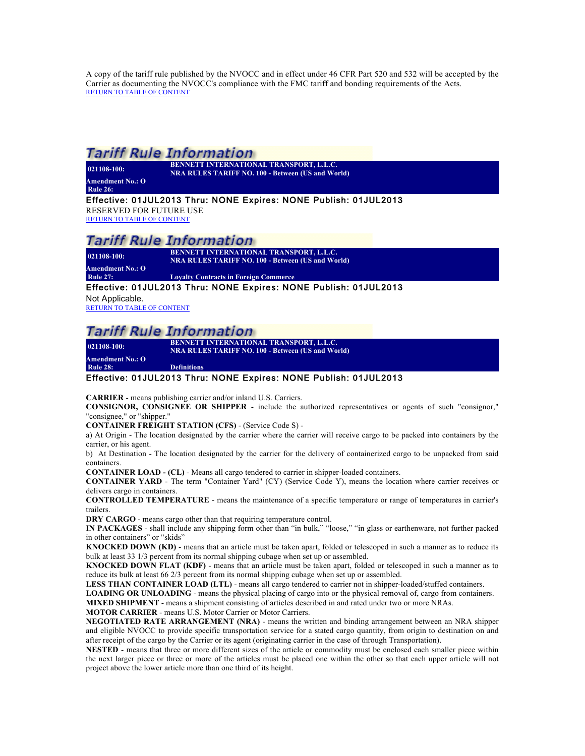A copy of the tariff rule published by the NVOCC and in effect under 46 CFR Part 520 and 532 will be accepted by the Carrier as documenting the NVOCC's compliance with the FMC tariff and bonding requirements of the Acts. RETURN TO TABLE OF CONTENT

### **Tariff Rule Information**

**021108-100: BENNETT INTERNATIONAL TRANSPORT, L.L.C. NRA RULES TARIFF NO. 100 - Between (US and World)**

**Amendment No.: O Rule 26:** 

Effective: 01JUL2013 Thru: NONE Expires: NONE Publish: 01JUL2013

RESERVED FOR FUTURE USE

RETURN TO TABLE OF CONTENT

### Tariff Rule Information

**021108-100: BENNETT INTERNATIONAL TRANSPORT, L.L.C.**

**NRA RULES TARIFF NO. 100 - Between (US and World)**

**Amendment No.: O Loyalty Contracts in Foreign Commerce** 

Effective: 01JUL2013 Thru: NONE Expires: NONE Publish: 01JUL2013

Not Applicable. RETURN TO TABLE OF CONTENT

### **Tariff Rule Information**

**Amendment No.: O**

**021108-100: BENNETT INTERNATIONAL TRANSPORT, L.L.C. NRA RULES TARIFF NO. 100 - Between (US and World)**

**Rule 28: Definitions**

#### Effective: 01JUL2013 Thru: NONE Expires: NONE Publish: 01JUL2013

**CARRIER** - means publishing carrier and/or inland U.S. Carriers.

**CONSIGNOR, CONSIGNEE OR SHIPPER** - include the authorized representatives or agents of such "consignor," "consignee," or "shipper."

**CONTAINER FREIGHT STATION (CFS)** - (Service Code S) -

a) At Origin - The location designated by the carrier where the carrier will receive cargo to be packed into containers by the carrier, or his agent.

b) At Destination - The location designated by the carrier for the delivery of containerized cargo to be unpacked from said containers.

**CONTAINER LOAD - (CL)** - Means all cargo tendered to carrier in shipper-loaded containers.

**CONTAINER YARD** - The term "Container Yard" (CY) (Service Code Y), means the location where carrier receives or delivers cargo in containers.

**CONTROLLED TEMPERATURE** - means the maintenance of a specific temperature or range of temperatures in carrier's trailers.

**DRY CARGO** - means cargo other than that requiring temperature control.

**IN PACKAGES** - shall include any shipping form other than "in bulk," "loose," "in glass or earthenware, not further packed in other containers" or "skids"

**KNOCKED DOWN (KD)** - means that an article must be taken apart, folded or telescoped in such a manner as to reduce its bulk at least 33 1/3 percent from its normal shipping cubage when set up or assembled.

**KNOCKED DOWN FLAT (KDF)** - means that an article must be taken apart, folded or telescoped in such a manner as to reduce its bulk at least 66 2/3 percent from its normal shipping cubage when set up or assembled.

**LESS THAN CONTAINER LOAD (LTL)** - means all cargo tendered to carrier not in shipper-loaded/stuffed containers.

**LOADING OR UNLOADING** - means the physical placing of cargo into or the physical removal of, cargo from containers.

**MIXED SHIPMENT** - means a shipment consisting of articles described in and rated under two or more NRAs.

**MOTOR CARRIER** - means U.S. Motor Carrier or Motor Carriers.

**NEGOTIATED RATE ARRANGEMENT (NRA)** - means the written and binding arrangement between an NRA shipper and eligible NVOCC to provide specific transportation service for a stated cargo quantity, from origin to destination on and after receipt of the cargo by the Carrier or its agent (originating carrier in the case of through Transportation).

**NESTED** - means that three or more different sizes of the article or commodity must be enclosed each smaller piece within the next larger piece or three or more of the articles must be placed one within the other so that each upper article will not project above the lower article more than one third of its height.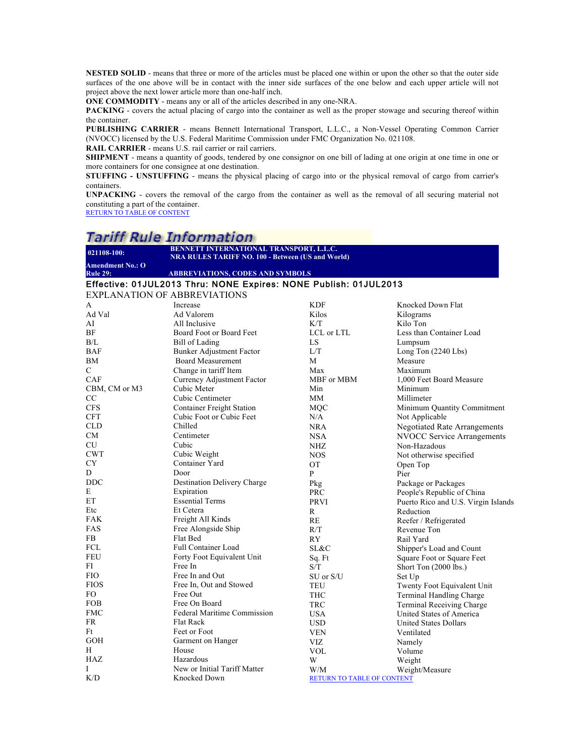**NESTED SOLID** - means that three or more of the articles must be placed one within or upon the other so that the outer side surfaces of the one above will be in contact with the inner side surfaces of the one below and each upper article will not project above the next lower article more than one-half inch.

**ONE COMMODITY** - means any or all of the articles described in any one-NRA.

**PACKING** - covers the actual placing of cargo into the container as well as the proper stowage and securing thereof within the container.

**PUBLISHING CARRIER** - means Bennett International Transport, L.L.C., a Non-Vessel Operating Common Carrier (NVOCC) licensed by the U.S. Federal Maritime Commission under FMC Organization No. 021108.

**RAIL CARRIER** - means U.S. rail carrier or rail carriers.

**SHIPMENT** - means a quantity of goods, tendered by one consignor on one bill of lading at one origin at one time in one or more containers for one consignee at one destination.

**STUFFING - UNSTUFFING** - means the physical placing of cargo into or the physical removal of cargo from carrier's containers.

**UNPACKING** - covers the removal of the cargo from the container as well as the removal of all securing material not constituting a part of the container.

RETURN TO TABLE OF CONTENT

# **Tariff Rule Information**

| 021108-100:                                                      | BENNETT INTERNATIONAL TRANSPORT, L.L.C.                  |             |                                     |  |  |  |  |
|------------------------------------------------------------------|----------------------------------------------------------|-------------|-------------------------------------|--|--|--|--|
| <b>Amendment No.: O</b>                                          | <b>NRA RULES TARIFF NO. 100 - Between (US and World)</b> |             |                                     |  |  |  |  |
| <b>Rule 29:</b>                                                  | <b>ABBREVIATIONS, CODES AND SYMBOLS</b>                  |             |                                     |  |  |  |  |
| Effective: 01JUL2013 Thru: NONE Expires: NONE Publish: 01JUL2013 |                                                          |             |                                     |  |  |  |  |
| <b>EXPLANATION OF ABBREVIATIONS</b>                              |                                                          |             |                                     |  |  |  |  |
| A                                                                | Increase                                                 | <b>KDF</b>  | Knocked Down Flat                   |  |  |  |  |
| Ad Val                                                           | Ad Valorem                                               | Kilos       | Kilograms                           |  |  |  |  |
| AI                                                               | All Inclusive                                            | K/T         | Kilo Ton                            |  |  |  |  |
| ΒF                                                               | Board Foot or Board Feet                                 | LCL or LTL  | Less than Container Load            |  |  |  |  |
| B/L                                                              | <b>Bill of Lading</b>                                    | LS          | Lumpsum                             |  |  |  |  |
| BAF                                                              | <b>Bunker Adjustment Factor</b>                          | L/T         | Long Ton (2240 Lbs)                 |  |  |  |  |
| ΒM                                                               | <b>Board Measurement</b>                                 | M           | Measure                             |  |  |  |  |
| C                                                                | Change in tariff Item                                    | Max         | Maximum                             |  |  |  |  |
| CAF                                                              | Currency Adjustment Factor                               | MBF or MBM  | 1,000 Feet Board Measure            |  |  |  |  |
| CBM, CM or M3                                                    | Cubic Meter                                              | Min         | Minimum                             |  |  |  |  |
| CC                                                               | Cubic Centimeter                                         | MМ          | Millimeter                          |  |  |  |  |
| <b>CFS</b>                                                       | <b>Container Freight Station</b>                         | MOC         | Minimum Quantity Commitment         |  |  |  |  |
| <b>CFT</b>                                                       | Cubic Foot or Cubic Feet                                 | N/A         | Not Applicable                      |  |  |  |  |
| <b>CLD</b>                                                       | Chilled                                                  | <b>NRA</b>  | <b>Negotiated Rate Arrangements</b> |  |  |  |  |
| CМ                                                               | Centimeter                                               | <b>NSA</b>  | <b>NVOCC Service Arrangements</b>   |  |  |  |  |
| CU                                                               | Cubic                                                    | NHZ         | Non-Hazadous                        |  |  |  |  |
| <b>CWT</b>                                                       | Cubic Weight                                             | <b>NOS</b>  | Not otherwise specified             |  |  |  |  |
| CY                                                               | Container Yard                                           | <b>OT</b>   | Open Top                            |  |  |  |  |
| D                                                                | Door                                                     | P           | Pier                                |  |  |  |  |
| <b>DDC</b>                                                       | Destination Delivery Charge                              | Pkg         | Package or Packages                 |  |  |  |  |
| E                                                                | Expiration                                               | PRC         | People's Republic of China          |  |  |  |  |
| EТ                                                               | <b>Essential Terms</b>                                   | <b>PRVI</b> | Puerto Rico and U.S. Virgin Islands |  |  |  |  |
| Etc                                                              | Et Cetera                                                | R           | Reduction                           |  |  |  |  |
| FAK                                                              | Freight All Kinds                                        | RE          | Reefer / Refrigerated               |  |  |  |  |
| FAS                                                              | Free Alongside Ship                                      | R/T         | Revenue Ton                         |  |  |  |  |
| FB                                                               | Flat Bed                                                 | <b>RY</b>   | Rail Yard                           |  |  |  |  |
| FCL                                                              | <b>Full Container Load</b>                               | SL&C        | Shipper's Load and Count            |  |  |  |  |
| <b>FEU</b>                                                       | Forty Foot Equivalent Unit                               | Sq. Ft      | Square Foot or Square Feet          |  |  |  |  |
| FI                                                               | Free In                                                  | S/T         | Short Ton (2000 lbs.)               |  |  |  |  |
| <b>FIO</b>                                                       | Free In and Out                                          | SU or S/U   | Set Up                              |  |  |  |  |
| <b>FIOS</b>                                                      | Free In, Out and Stowed                                  | TEU         | Twenty Foot Equivalent Unit         |  |  |  |  |
| FО                                                               | Free Out                                                 | <b>THC</b>  | <b>Terminal Handling Charge</b>     |  |  |  |  |
| <b>FOB</b>                                                       | Free On Board                                            | TRC         | <b>Terminal Receiving Charge</b>    |  |  |  |  |
| <b>FMC</b>                                                       | Federal Maritime Commission                              | <b>USA</b>  | United States of America            |  |  |  |  |
| FR                                                               | <b>Flat Rack</b>                                         | <b>USD</b>  | United States Dollars               |  |  |  |  |
| Ft                                                               | Feet or Foot                                             | <b>VEN</b>  | Ventilated                          |  |  |  |  |
| GOH                                                              | Garment on Hanger                                        | VIZ         | Namely                              |  |  |  |  |
| H                                                                | House                                                    | <b>VOL</b>  | Volume                              |  |  |  |  |
| HAZ                                                              | Hazardous                                                | W           | Weight                              |  |  |  |  |
| Ι                                                                | New or Initial Tariff Matter                             | W/M         | Weight/Measure                      |  |  |  |  |
| K/D                                                              | Knocked Down                                             |             | RETURN TO TABLE OF CONTENT          |  |  |  |  |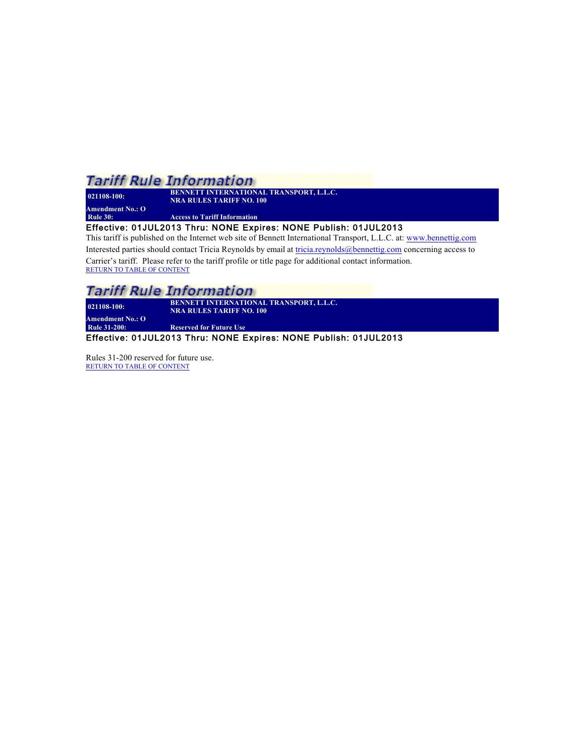**021108-100: BENNETT INTERNATIONAL TRANSPORT, L.L.C. NRA RULES TARIFF NO. 100 Amendment No.: O Access to Tariff Information** 

Effective: 01JUL2013 Thru: NONE Expires: NONE Publish: 01JUL2013

This tariff is published on the Internet web site of Bennett International Transport, L.L.C. at: www.bennettig.com Interested parties should contact Tricia Reynolds by email at tricia.reynolds@bennettig.com concerning access to

Carrier's tariff. Please refer to the tariff profile or title page for additional contact information. RETURN TO TABLE OF CONTENT

### **Tariff Rule Information**

**021108-100: BENNETT INTERNATIONAL TRANSPORT, L.L.C. NRA RULES TARIFF NO. 100 Amendment No.: O**

**Reserved for Future Use** 

Effective: 01JUL2013 Thru: NONE Expires: NONE Publish: 01JUL2013

Rules 31-200 reserved for future use. RETURN TO TABLE OF CONTENT